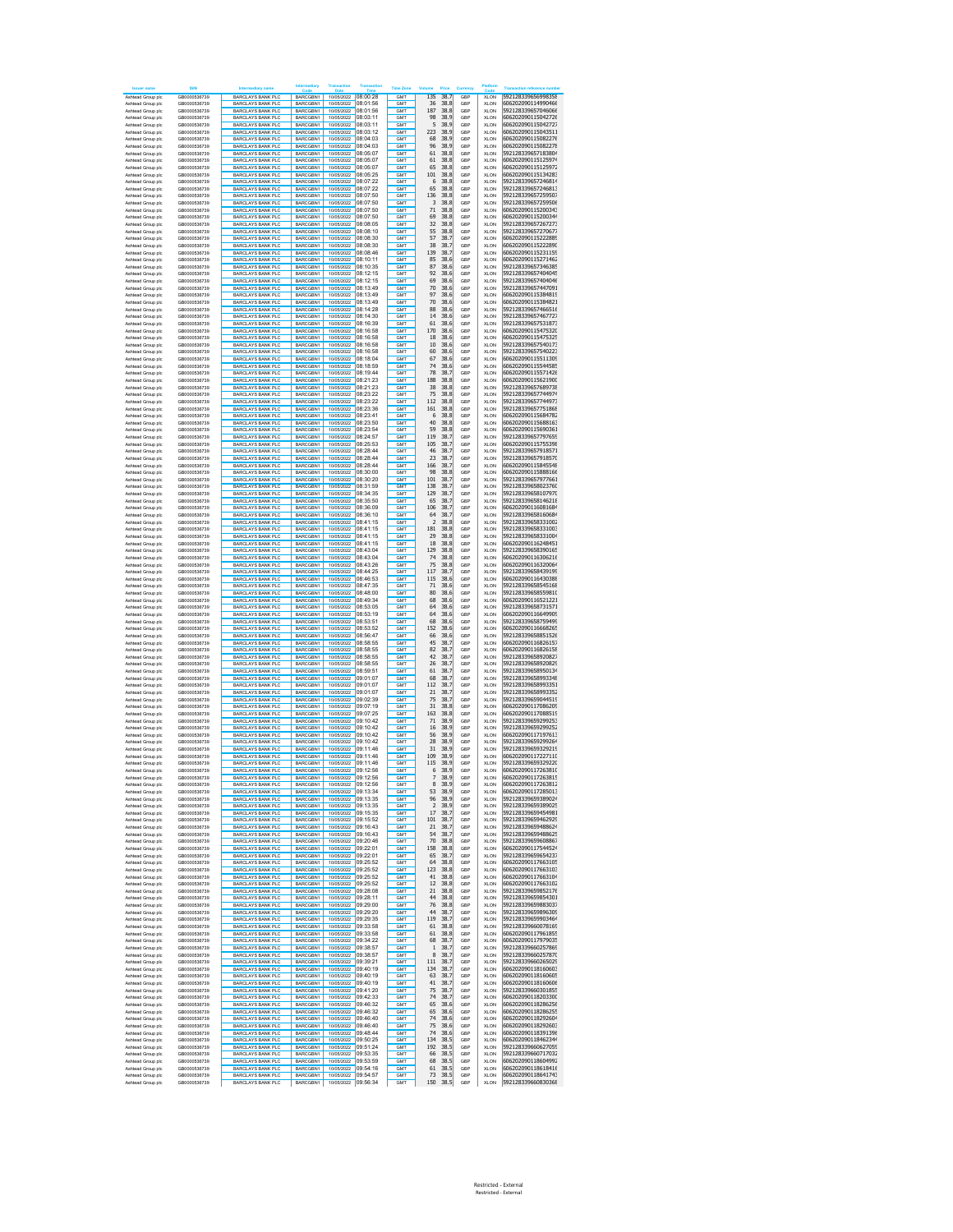|                                        | IRIN                         |                                                      |                             |                                            |                      |                               |                                      |            |                            |                                          |
|----------------------------------------|------------------------------|------------------------------------------------------|-----------------------------|--------------------------------------------|----------------------|-------------------------------|--------------------------------------|------------|----------------------------|------------------------------------------|
| Ashtead Group plo                      | GB0000536739                 | <b>BARCLAYS BANK PLC</b>                             | BARCGBN1                    | 10/05/2022 08:00:28                        |                      | GM <sub>1</sub>               | 135<br>38.7                          | GBF        | <b>XLON</b>                | 592128339656998358                       |
| Ashtead Group plc                      | GB0000536739                 | <b>BARCLAYS BANK PLC</b>                             | BARCGBN1                    | 10/05/2022                                 | 08:01:56             | GMT                           | 38.8<br>36                           | GBP        | XLON                       | 606202090114990466                       |
| Ashtead Group plc                      | GB0000536739                 | <b>BARCLAYS BANK PLC</b>                             | BARCGBN1                    | 10/05/2022                                 | 08:01:56             | <b>GMT</b>                    | 187<br>38.8                          | GBP        | <b>XLON</b>                | 592128339657046066                       |
| Ashtead Group plc                      | GB0000536739                 | <b>BARCLAYS BANK PLC</b>                             | BARCGBN1                    | 10/05/2022                                 | 08:03:11             | GMT                           | 98<br>38.9                           | GBP        | <b>XLON</b>                | 606202090115042726                       |
| Ashtead Group pld                      | GB0000536739                 | BARCLAYS BANK PLC                                    | BARCGBN1                    | 10/05/2022                                 | 08:03:11             | GM <sub>1</sub>               | 5<br>38.9                            | GBP        | <b>XLON</b>                | 606202090115042727                       |
| Ashtead Group plc                      | GB0000536739                 | <b>BARCLAYS BANK PLC</b>                             | BARCGBN1                    | 10/05/2022                                 | 08:03:12             | <b>GMT</b>                    | 38.9<br>223                          | GBP        | <b>XLON</b>                | 606202090115043511                       |
| Ashtead Group plc                      | GB0000536739                 | <b>BARCLAYS BANK PLO</b>                             | BARCGBN1                    | 10/05/2022                                 | 08:04:03             | GM <sub>1</sub>               | 68<br>38.9                           | GBP        | <b>XLON</b>                | 606202090115082276                       |
| Ashtead Group plc                      | GB0000536739                 | <b>BARCLAYS BANK PLC</b>                             | BARCGBN1                    | 10/05/2022                                 | 08:04:03             | <b>GMT</b>                    | 38.9<br>96                           | GBP        | <b>XLON</b>                | 606202090115082278                       |
| Ashtead Group plc                      | GB0000536739                 | <b>BARCLAYS BANK PLC</b>                             | BARCGBN1                    | 10/05/2022 08:05:07                        |                      | <b>GMT</b>                    | 61<br>38.8                           | GBP        | <b>XLON</b>                | 592128339657183804                       |
| Ashtead Group plc                      | GB0000536739                 | <b>BARCLAYS BANK PLC</b>                             | BARCGBN1                    | 10/05/2022 08:05:07                        |                      | <b>GMT</b>                    | 38.8<br>61                           | GBP        | <b>XLON</b>                | 606202090115125974                       |
| Ashtead Group plo                      | GB0000536739                 | <b>BARCLAYS BANK PLC</b>                             | BARCGBN1                    | 10/05/2022 08:05:07                        |                      | GMT                           | 65<br>38.8                           | GBP        | XLON                       | 606202090115125972<br>606202090115134283 |
| Ashtead Group plo                      | GB0000536739<br>GB0000536739 | <b>BARCLAYS BANK PLC</b>                             | BARCGBN1                    | 10/05/2022 08:05:25                        |                      | GMT<br>GMT                    | 101<br>38.8<br>6                     | GBP        | XLON                       |                                          |
| Ashtead Group plo<br>Ashtead Group plo | GB0000536739                 | <b>BARCLAYS BANK PLC</b><br><b>BARCLAYS BANK PLC</b> | BARCGBN1<br>BARCGBN1        | 10/05/2022 08:07:22<br>10/05/2022          | 08:07:22             | GMT                           | 38.8<br>65<br>38.8                   | GBP<br>GBP | XLON                       | 592128339657246814<br>592128339657246813 |
| Ashtead Group plo                      | GB0000536739                 | <b>BARCLAYS BANK PLC</b>                             | BARCGBN1                    | 10/05/2022                                 | 08:07:50             | <b>GMT</b>                    | 136<br>38.8                          | GBP        | XLON<br>XLON               | 592128339657259507                       |
| Ashtead Group plo                      | GB0000536739                 | <b>BARCLAYS BANK PLC</b>                             | <b>BARCGRN1</b>             | 10/05/2022                                 | 08:07:50             | GM <sub>1</sub>               | 3<br>38.8                            | GBP        | XLON                       | 592128339657259506                       |
| Ashtead Group plc                      | GB0000536739                 | <b>BARCLAYS BANK PLC</b>                             | BARCGBN1                    | 10/05/2022                                 | 08:07:50             | <b>GMT</b>                    | 71<br>38.8                           | GBP        | XLON                       | 606202090115200343                       |
| Ashtead Group plc                      | GB0000536739                 | <b>BARCLAYS BANK PLC</b>                             | BARCGBN1                    | 10/05/2022                                 | 08:07:50             | <b>GMT</b>                    | 69<br>38.8                           | GBP        | <b>XLON</b>                | 606202090115200344                       |
| Ashtead Group plc                      | GB0000536739                 | <b>BARCLAYS BANK PLC</b>                             | BARCGBN1                    | 10/05/2022                                 | 08:08:05             | <b>GMT</b>                    | 32<br>38.8                           | GBP        | <b>XLON</b>                | 592128339657267273                       |
| Ashtead Group plo                      | GB0000536739                 | <b>BARCLAYS BANK PLC</b>                             | BARCGBN1                    | 10/05/2022                                 | 08:08:10             | <b>GMT</b>                    | 55<br>38.8                           | GBP        | <b>XLON</b>                | 592128339657270677                       |
| Ashtead Group plc                      | GB0000536739                 | <b>BARCLAYS BANK PLC</b>                             | BARCGBN1                    | 10/05/2022                                 | 08:08:30             | <b>GMT</b>                    | 57<br>38.7                           | GBP        | <b>XLON</b>                | 606202090115222889                       |
| Ashtead Group plo                      | GB0000536739                 | <b>BARCLAYS BANK PLC</b>                             | BARCGBN1                    | 10/05/2022                                 | 08:08:30             | <b>GMT</b>                    | 38<br>38.7                           | GBP        | <b>XLON</b>                | 606202090115222890                       |
| Ashtead Group plc                      | GB0000536739                 | <b>BARCLAYS BANK PLC</b>                             | BARCGBN1                    | 10/05/2022                                 | 08:08:46             | <b>GMT</b>                    | 139<br>38.7                          | GBP        | <b>XLON</b>                | 606202090115231159                       |
| Ashtead Group plc                      | GB0000536739                 | <b>BARCLAYS BANK PLC</b>                             | BARCGBN1                    | 10/05/2022 08:10:11                        |                      | GM <sub>1</sub>               | 85<br>38.6                           | GBP        | <b>XLON</b>                | 606202090115271462                       |
| Ashtead Group plc                      | GB0000536739                 | <b>BARCLAYS BANK PLC</b>                             | BARCGBN1                    | 10/05/2022                                 | 08:10:35             | GMT                           | 87<br>38.6                           | GBP        | <b>XLON</b>                | 592128339657346385                       |
| Ashtead Group plc<br>Ashtead Group plc | GB0000536739<br>GB0000536739 | <b>BARCLAYS BANK PLC</b><br><b>BARCLAYS BANK PLC</b> | BARCGBN1<br>BARCGBN1        | 10/05/2022 08:12:15<br>10/05/2022          | 08:12:15             | GM <sub>1</sub><br>GMT        | 92<br>38.6<br>38.6<br>69             | GBP<br>GBP | <b>XLON</b><br><b>XLON</b> | 592128339657404045<br>592128339657404046 |
| Ashtead Group plc                      | GB0000536739                 | <b>BARCLAYS BANK PLC</b>                             | BARCGBN1                    | 10/05/2022                                 | 08:13:49             | <b>GMT</b>                    | 70<br>38.6                           | GBP        | <b>XLON</b>                | 592128339657447091                       |
| Ashtead Group plc                      | GB0000536739                 | <b>BARCLAYS BANK PLC</b>                             | BARCGBN1                    | 10/05/2022                                 | 08:13:49             | GMT                           | 97<br>38.6                           | GBP        | <b>XLON</b>                | 606202090115384819                       |
| Ashtead Group plc                      | GB0000536739                 | BARCLAYS BANK PLC                                    | BARCGBN1                    | 10/05/2022                                 | 08:13:49             | <b>GMT</b>                    | 70<br>38.6                           | GBP        | <b>XLON</b>                | 606202090115384821                       |
| Ashtead Group plc                      | GB0000536739                 | <b>BARCLAYS BANK PLC</b>                             | BARCGBN1                    | 10/05/2022                                 | 08:14:28             | <b>GMT</b>                    | 38.6<br>88                           | GBP        | <b>XLON</b>                | 592128339657466516                       |
| Ashtead Group plc                      | GB0000536739                 | <b>BARCLAYS BANK PLO</b>                             | BARCGBN1                    | 10/05/2022 08:14:30                        |                      | <b>GMT</b>                    | 14<br>38.6                           | GBP        | <b>XLON</b>                | 592128339657467727                       |
| Ashtead Group plc                      | GB0000536739                 | <b>BARCLAYS BANK PLC</b>                             | BARCGBN1                    | 10/05/2022 08:16:39                        |                      | <b>GMT</b>                    | 38.6<br>61                           | GBP        | <b>XLON</b>                | 592128339657531873                       |
| Ashtead Group plc                      | GB0000536739                 | <b>BARCLAYS BANK PLC</b>                             | BARCGBN1                    | 10/05/2022 08:16:58                        |                      | <b>GMT</b>                    | 170<br>38.6                          | GBP        | <b>XLON</b>                | 606202090115475320                       |
| Ashtead Group plc                      | GB0000536739                 | <b>BARCLAYS BANK PLC</b>                             | BARCGBN1                    | 10/05/2022 08:16:58                        |                      | <b>GMT</b>                    | 38.6<br>18                           | GBP        | <b>XLON</b>                | 606202090115475325                       |
| Ashtead Group plo                      | GB0000536739                 | <b>BARCLAYS BANK PLC</b>                             | BARCGBN1                    | 10/05/2022 08:16:58                        |                      | GMT<br>GMT                    | 10<br>38.6                           | GBP        | XLON                       | 592128339657540173<br>592128339657540223 |
| Ashtead Group plo<br>Ashtead Group plo | GB0000536739<br>GB0000536739 | <b>BARCLAYS BANK PLC</b><br><b>BARCLAYS BANK PLO</b> | BARCGBN1<br>BARCGBN1        | 10/05/2022 08:16:58<br>10/05/2022 08:18:04 |                      | GMT                           | 60<br>38.6<br>67<br>38.6             | GBP<br>GBP | XLON<br>XLON               | 606202090115511309                       |
| Ashtead Group plo                      | GB0000536739                 | <b>BARCLAYS BANK PLC</b>                             | BARCGBN1                    | 10/05/2022                                 | 08:18:59             | GMT                           | 74<br>38.6                           | GBP        | XLON                       | 606202090115544585                       |
| Ashtead Group plo                      | GB0000536739                 | <b>BARCLAYS BANK PLC</b>                             | BARCGBN1                    | 10/05/2022                                 | 08:19:44             | <b>GMT</b>                    | 78<br>38.7                           | GBP        | XLON                       | 606202090115571426                       |
| Ashtead Group plo                      | GB0000536739                 | <b>BARCLAYS BANK PLC</b>                             | BARCGBN1                    | 10/05/2022                                 | 08:21:23             | <b>GMT</b>                    | 188<br>38.8                          | GBP        | XLON                       | 606202090115621900                       |
| Ashtead Group plc                      | GB0000536739                 | <b>BARCLAYS BANK PLC</b>                             | BARCGBN1                    | 10/05/2022                                 | 08:21:23             | <b>GMT</b>                    | 38<br>38.8                           | GBP        | XLON                       | 592128339657689738                       |
| Ashtead Group plc                      | GB0000536739                 | <b>BARCLAYS BANK PLC</b>                             | BARCGBN1                    | 10/05/2022                                 | 08:23:22             | <b>GMT</b>                    | 75<br>38.8                           | GBP        | <b>XLON</b>                | 592128339657744974                       |
| Ashtead Group plc                      | GB0000536739                 | <b>BARCLAYS BANK PLC</b>                             | BARCGBN1                    | 10/05/2022                                 | 08:23:22             | <b>GMT</b>                    | 112<br>38.8                          | GBP        | <b>XLON</b>                | 592128339657744973                       |
| Ashtead Group plo                      | GB0000536739                 | <b>BARCLAYS BANK PLC</b>                             | BARCGBN1                    | 10/05/2022                                 | 08:23:36             | <b>GMT</b>                    | 161<br>38.8                          | GBP        | <b>XLON</b>                | 592128339657751868                       |
| Ashtead Group plo                      | GB0000536739                 | <b>BARCLAYS BANK PLC</b>                             | BARCGBN1                    | 10/05/2022<br>10/05/2022                   | 08:23:41             | <b>GMT</b>                    | 6<br>38.8                            | GBP        | <b>XLON</b>                | 606202090115684782                       |
| Ashtead Group plo<br>Ashtead Group plc | GB0000536739<br>GB0000536739 | <b>BARCLAYS BANK PLC</b><br><b>BARCLAYS BANK PLC</b> | BARCGBN1<br>BARCGBN1        | 10/05/2022                                 | 08:23:50<br>08:23:54 | <b>GMT</b><br><b>GMT</b>      | 40<br>38.8<br>59<br>38.8             | GBP<br>GBP | <b>XLON</b><br><b>XLON</b> | 606202090115688163<br>606202090115690361 |
| Ashtead Group plc                      | GB0000536739                 | <b>BARCLAYS BANK PLC</b>                             | BARCGBN1                    | 10/05/2022                                 | 08:24:57             | GM <sub>1</sub>               | 119<br>38.7                          | GBP        | <b>XLON</b>                | 592128339657797659                       |
| Ashtead Group plc                      | GB0000536739                 | <b>BARCLAYS BANK PLC</b>                             | BARCGBN1                    | 10/05/2022                                 | 08:25:53             | GM <sub>1</sub>               | 105<br>38.7                          | GBP        | <b>XLON</b>                | 606202090115755398                       |
| Ashtead Group plc                      | GB0000536739                 | <b>BARCLAYS BANK PLC</b>                             | BARCGBN1                    | 10/05/2022                                 | 08:28:44             | GM <sub>1</sub>               | 46<br>38.7                           | GBP        | <b>XLON</b>                | 592128339657918571                       |
| Ashtead Group plc                      | GB0000536739                 | <b>BARCLAYS BANK PLC</b>                             | BARCGBN1                    | 10/05/2022                                 | 08:28:44             | GM <sub>1</sub>               | 23<br>38.7                           | GBP        | <b>XLON</b>                | 592128339657918570                       |
| Ashtead Group plc                      | GB0000536739                 | <b>BARCLAYS BANK PLC</b>                             | BARCGBN1                    | 10/05/2022                                 | 08:28:44             | <b>GMT</b>                    | 166<br>38.7                          | GBP        | <b>XLON</b>                | 606202090115845548                       |
| Ashtead Group plc                      | GB0000536739                 | <b>BARCLAYS BANK PLC</b>                             | BARCGBN1                    | 10/05/2022                                 | 08:30:00             | GMT                           | 98<br>38.8                           | GBP        | <b>XLON</b>                | 606202090115888166                       |
| Ashtead Group plc                      | GB0000536739                 | BARCLAYS BANK PLC                                    | BARCGBN1                    | 10/05/2022                                 | 08:30:20             | GM <sub>1</sub>               | 101<br>38.7                          | GBP        | <b>XLON</b>                | 592128339657977661                       |
| Ashtead Group plc                      | GB0000536739                 | <b>BARCLAYS BANK PLC</b>                             | BARCGBN1                    | 10/05/2022                                 | 08:31:59             | GMT                           | 38.7<br>138                          | GBP        | <b>XLON</b>                | 592128339658023760                       |
| Ashtead Group plc<br>Ashtead Group plc | GB0000536739<br>GB0000536739 | <b>BARCLAYS BANK PLO</b><br>BARCLAYS BANK PLC        | BARCGBN1<br><b>BARCGRN1</b> | 10/05/2022<br>10/05/2022                   | 08:34:35<br>08:35:50 | GM <sub>1</sub><br>GMT        | 129<br>38.7<br>38.7<br>65            | GBP<br>GBP | <b>XLON</b><br><b>XLON</b> | 592128339658107970<br>592128339658146218 |
| Ashtead Group plc                      | GB0000536739                 | <b>BARCLAYS BANK PLC</b>                             | BARCGBN1                    | 1005/2022 08:36:09                         |                      | <b>GMT</b>                    | 106<br>38.7                          | GBP        | <b>XLON</b>                | 606202090116081684                       |
| Ashtead Group plc                      | GB0000536739                 | <b>BARCLAYS BANK PLC</b>                             | BARCGBN1                    | 10/05/2022 08:36:10                        |                      | <b>GMT</b>                    | 38.7<br>64                           | GBP        | <b>XLON</b>                | 592128339658160684                       |
| Ashtead Group plo                      | GB0000536739                 | <b>BARCLAYS BANK PLC</b>                             | BARCGBN1                    | 10/05/2022 08:41:15                        |                      | GMT                           | $\overline{\phantom{0}}$<br>38.8     | GBP        | XLON                       | 592128339658331002                       |
| Ashtead Group plo                      | GB0000536739                 | <b>BARCLAYS BANK PLC</b>                             | BARCGBN1                    | 10/05/2022 08:41:15                        |                      | GMT                           | 181<br>38.8                          | GBP        | XLON                       | 592128339658331003                       |
| Ashtead Group plo                      | GB0000536739                 | <b>BARCLAYS BANK PLO</b>                             | BARCGBN1                    | 10/05/2022 08:41:15                        |                      | GMT                           | 29<br>38.8                           | GBP        | XLON                       | 592128339658331004                       |
| Ashtead Group plo                      | GB0000536739                 | <b>BARCLAYS BANK PLC</b>                             | BARCGBN1                    | 10/05/2022                                 | 08:41:15             | GMT                           | 18<br>38.8                           | GBP        | XLON                       | 606202090116248451                       |
| Ashtead Group plo                      | GB0000536739<br>GB0000536739 | <b>BARCLAYS BANK PLC</b><br><b>BARCLAYS BANK PLC</b> | BARCGBN1<br>BARCGBN1        | 10/05/2022<br>10/05/2022                   | 08:43:04<br>08:43:04 | <b>GMT</b><br><b>GMT</b>      | 129<br>38.8<br>74<br>38.8            | GBP<br>GBP | XLON                       | 592128339658390165<br>606202090116306216 |
| Ashtead Group plo<br>Ashtead Group plc | GB0000536739                 | <b>BARCLAYS BANK PLC</b>                             | BARCGBN1                    | 10/05/2022                                 | 08:43:26             | <b>GMT</b>                    | 75<br>38.8                           | GBP        | XLON<br>XLON               | 606202090116320064                       |
| Ashtead Group plc                      | GB0000536739                 | <b>BARCLAYS BANK PLC</b>                             | BARCGBN1                    | 10/05/2022                                 | 08:44:25             | <b>GMT</b>                    | 117<br>38.7                          | GBP        | <b>XLON</b>                | 592128339658439199                       |
| Ashtead Group plc                      | GB0000536739                 | <b>BARCLAYS BANK PLC</b>                             | BARCGBN1                    | 10/05/2022                                 | 08:46:53             | <b>GMT</b>                    | 115<br>38.6                          | GBP        | <b>XLON</b>                | 606202090116430388                       |
| Ashtead Group plo                      | GB0000536739                 | <b>BARCLAYS BANK PLC</b>                             | BARCGBN1                    | 10/05/2022                                 | 08:47:35             | <b>GMT</b>                    | 71<br>38.6                           | GBP        | <b>XLON</b>                | 592128339658545168                       |
| Ashtead Group plc                      | GB0000536739                 | <b>BARCLAYS BANK PLC</b>                             | BARCGBN1                    | 10/05/2022                                 | 08:48:00             | <b>GMT</b>                    | 80<br>38.6                           | GBP        | XLON                       | 592128339658559810                       |
| Ashtead Group plo                      | GB0000536739                 | <b>BARCLAYS BANK PLC</b>                             | BARCGBN1                    | 10/05/2022                                 | 08:49:34             | <b>GMT</b>                    | 68<br>38.6                           | GBP        | <b>XLON</b>                | 606202090116521221                       |
| Ashtead Group plc                      | GB0000536739                 | <b>BARCLAYS BANK PLC</b>                             | BARCGBN1                    | 10/05/2022                                 | 08:53:05<br>08:53:19 | <b>GMT</b><br>GM <sub>1</sub> | 64<br>38.6<br>38.6<br>64             | GBP<br>GBP | <b>XLON</b>                | 592128339658731571<br>606202090116649909 |
| Ashtead Group plc<br>Ashtead Group plc | GB0000536739<br>GB0000536739 | <b>BARCLAYS BANK PLC</b><br><b>BARCLAYS BANK PLC</b> | BARCGBN1<br>BARCGBN1        | 10/05/2022<br>10/05/2022                   | 08:53:51             | GM <sub>1</sub>               | 68<br>38.6                           | GBP        | <b>XLON</b><br><b>XLON</b> | 592128339658759499                       |
| Ashtead Group plc                      | GB0000536739                 | <b>BARCLAYS BANK PLC</b>                             | BARCGBN1                    | 10/05/2022                                 | 08:53:52             | GM <sub>1</sub>               | 152<br>38.6                          | GBP        | <b>XLON</b>                | 606202090116668265                       |
| Ashtead Group plc                      | GB0000536739                 | <b>BARCLAYS BANK PLC</b>                             | BARCGBN1                    | 10/05/2022                                 | 08:56:47             | GMT                           | 38.6<br>66                           | GBP        | <b>XLON</b>                | 592128339658851526                       |
| Ashtead Group plc                      | GB0000536739                 | <b>BARCLAYS BANK PLC</b>                             | BARCGBN1                    | 10/05/2022                                 | 08:58:55             | <b>GMT</b>                    | 45<br>38.7                           | GBP        | <b>XLON</b>                | 606202090116826157                       |
| Ashtead Group plc                      | GB0000536739                 | <b>BARCLAYS BANK PLC</b>                             | BARCGBN1                    | 10/05/2022                                 | 08:58:55             | GMT                           | 82<br>38.7                           | GBP        | <b>XLON</b>                | 606202090116826158                       |
| Ashtead Group pld                      | GB0000536739                 | <b>BARCLAYS BANK PLC</b>                             | BARCGBN1                    | 10/05/2022                                 | 08:58:55             | <b>GMT</b>                    | 42<br>38.7                           | GBP        | <b>XLON</b>                | 592128339658920827                       |
| Ashtead Group plc<br>Ashtead Group plc | GB0000536739<br>GB0000536739 | <b>BARCLAYS BANK PLC</b><br><b>BARCLAYS BANK PLO</b> | BARCGBN1<br>BARCGBN1        | 10/05/2022<br>10/05/2022                   | 08:58:55<br>08:59:51 | <b>GMT</b><br><b>GMT</b>      | 38.7<br>26<br>61<br>38.7             | GBP<br>GBP | <b>XLON</b><br><b>XLON</b> | 592128339658920829<br>592128339658950134 |
| Ashtead Group plc                      | GB0000536739                 | <b>BARCLAYS BANK PLC</b>                             | BARCGBN1                    | 10/05/2022                                 | 09:01:07             | GMT                           | 38.7<br>68                           | GBP        | <b>XLON</b>                | 592128339658993348                       |
| Ashtead Group plc                      | GB0000536739                 | <b>BARCLAYS BANK PLC</b>                             | <b>BARCGRN1</b>             | 10/05/2022 09:01:07                        |                      | <b>GMT</b>                    | 112<br>38.7                          | GBP        | <b>XLON</b>                | 592128339658993351                       |
| Ashtead Group plc                      | GB0000536739                 | <b>BARCLAYS BANK PLC</b>                             | BARCGBN1                    | 1005/2022 09:01:07                         |                      | <b>GMT</b>                    | 38.7<br>21                           | GBP        | <b>XLON</b>                | 592128339658993352                       |
| Ashtead Group plo                      | GB0000536739                 | <b>BARCLAYS BANK PLC</b>                             | BARCGBN1                    | 10/05/2022                                 | 09:02:39             | GMT                           | 75<br>38.7                           | GBP        | XLON                       | 592128339659044519                       |
| Ashtead Group plo                      | GB0000536739                 | <b>BARCLAYS BANK PLC</b>                             | BARCGBN1                    | 10/05/2022 09:07:19                        |                      | GMT                           | 31<br>38.8                           | GBP        | XLON                       | 606202090117086209                       |
| Ashtead Group plo                      | GB0000536739                 | <b>BARCLAYS BANK PLC</b>                             | BARCGBN1                    | 10/05/2022 09:07:25                        |                      | GMT                           | 163<br>38.8                          | GBP        | XLON                       | 606202090117088519                       |
| Ashtead Group plo                      | GB0000536739                 | <b>BARCLAYS BANK PLC</b>                             | BARCGBN1                    | 10/05/2022                                 | 09:10:42             | GMT                           | 71<br>38.9                           | GBP        | XLON                       | 592128339659299253                       |
| Ashtead Group plo                      | GB0000536739                 | <b>BARCLAYS BANK PLC</b>                             | BARCGBN1                    | 10/05/2022                                 | 09:10:42             | <b>GMT</b>                    | 16<br>38.9                           | GBP        | XLON                       | 592128339659299252                       |
| Ashtead Group plo                      | GB0000536739                 | <b>BARCLAYS BANK PLC</b>                             | BARCGBN1                    | 10/05/2022                                 | 09:10:42             | GM <sub>1</sub>               | 56<br>38.9                           | GBP        | XLON                       | 606202090117197613                       |
| Ashtead Group plc<br>Ashtead Group plo | GB0000536739<br>GB0000536739 | <b>BARCLAYS BANK PLC</b><br><b>BARCLAYS BANK PLC</b> | BARCGBN1<br>BARCGBN1        | 10/05/2022<br>10/05/2022 09:11:46          | 09:10:42             | <b>GMT</b><br><b>GMT</b>      | 28<br>38.9<br>38.9<br>31             | GBP<br>GBP | XLON<br><b>XLON</b>        | 592128339659299264<br>592128339659329219 |
| Ashtead Group plc                      | GB0000536739                 | <b>BARCLAYS BANK PLC</b>                             | BARCGBN1                    | 10/05/2022 09:11:46                        |                      | <b>GMT</b>                    | 109<br>38.9                          | GBP        | <b>XLON</b>                | 606202090117227110                       |
| Ashtead Group plo                      | GB0000536739                 | <b>BARCLAYS BANK PLC</b>                             | BARCGBN1                    | 10/05/2022 09:11:46                        |                      | <b>GMT</b>                    | 38.9<br>115                          | GBP        | XLON                       | 592128339659329220                       |
| Ashtead Group plc                      | GB0000536739                 | <b>BARCLAYS BANK PLC</b>                             | BARCGBN1                    | 10/05/2022 09:12:56                        |                      | <b>GMT</b>                    | 6<br>38.9                            | GBP        | XLON                       | 606202090117263810                       |
| Ashtead Group plo                      | GB0000536739                 | <b>BARCLAYS BANK PLC</b>                             | BARCGBN1                    | 10/05/2022 09:12:56                        |                      | <b>GMT</b>                    | 38.9                                 | GBP        | <b>XLON</b>                | 606202090117263815                       |
| Group pic                              |                              | <b>{CLAYS BANK PLC</b>                               | <b>SARCGBN</b>              | 10/05/2022                                 | <b>DA:15:20</b>      |                               | 58.                                  |            |                            | 1020209011720381.                        |
| Ashtead Group plc                      | GB0000536739                 | <b>BARCLAYS BANK PLO</b>                             | BARCGBN1                    | 10/05/2022 09:13:34                        |                      | GM <sub>1</sub>               | 38.9<br>53                           | GBP        | <b>XLON</b>                | 606202090117285013                       |
| Ashtead Group plc                      | GB0000536739                 | <b>BARCLAYS BANK PLC</b>                             | BARCGBN1                    | 10/05/2022 09:13:35                        |                      | GM <sub>1</sub>               | 96<br>38.9                           | GBP        | <b>XLON</b>                | 592128339659389024                       |
| Ashtead Group plc                      | GB0000536739                 | <b>BARCLAYS BANK PLO</b><br><b>BARCLAYS BANK PLC</b> | BARCGBN1<br>BARCGBN1        | 10/05/2022 09:13:35<br>10/05/2022          | 09:15:35             | <b>GMT</b><br>GMT             | 38.9<br>$\overline{2}$<br>38.7<br>17 | GBP<br>GBP | <b>XLON</b>                | 592128339659389025<br>592128339659454981 |
| Ashtead Group plc<br>Ashtead Group plc | GB0000536739<br>GB0000536739 | <b>BARCLAYS BANK PLC</b>                             | BARCGBN1                    | 10/05/2022                                 | 09:15:52             | <b>GMT</b>                    | 101<br>38.7                          | GBP        | <b>XLON</b><br><b>XLON</b> | 592128339659462929                       |
| Ashtead Group plc                      | GB0000536739                 | <b>BARCLAYS BANK PLC</b>                             | BARCGBN1                    | 10/05/2022                                 | 09:16:43             | GMT                           | 21<br>38.7                           | GBP        | <b>XLON</b>                | 592128339659488624                       |
| Ashtead Group plc                      | GB0000536739                 | <b>BARCLAYS BANK PLC</b>                             | <b>BARCGRN1</b>             | 10/05/2022                                 | 09:16:43             | <b>GMT</b>                    | 54<br>38.7                           | GBP        | <b>XLON</b>                | 592128339659488625                       |
| Ashtead Group plc                      | GB0000536739                 | BARCLAYS BANK PLC                                    | BARCGBN1                    | 1005/2022 09:20:46                         |                      | GMT                           | 70<br>38.8                           | GBP        | <b>XLON</b>                | 592128339659608867                       |
| Ashtead Group plc                      | GB0000536739                 | <b>BARCLAYS BANK PLC</b>                             | BARCGBN1                    | 10/05/2022 09:22:01                        |                      | <b>GMT</b>                    | 158<br>38.8                          | GBP        | <b>XLON</b>                | 606202090117544524                       |
| Ashtead Group plc                      | GB0000536739                 | BARCLAYS BANK PLC                                    | BARCGBN1                    | 1005/2022 09:22:01                         |                      | GMT                           | 38.7<br>65                           | GBP        | <b>XLON</b>                | 592128339659654237                       |
| Ashtead Group pld                      | GB0000536739                 | <b>BARCLAYS BANK PLC</b>                             | BARCGBN1                    | 1005/2022 09:25:52                         |                      | <b>GMT</b>                    | 64<br>38.8                           | GBP        | <b>XLON</b>                | 606202090117663105                       |
| Ashtead Group plc                      | GB0000536739<br>GB0000536739 | <b>BARCLAYS BANK PLC</b>                             | BARCGBN1                    | 10/05/2022 09:25:52                        |                      | <b>GMT</b><br>GMT             | 38.8<br>123                          | GBP        | <b>XLON</b>                | 606202090117663103<br>606202090117663104 |
| Ashtead Group plc<br>Ashtead Group plc | GB0000536739                 | <b>BARCLAYS BANK PLC</b><br><b>BARCLAYS BANK PLC</b> | BARCGBN1<br>BARCGBN1        | 10/05/2022 09:25:52<br>10/05/2022 09:25:52 |                      | GMT                           | 41<br>38.8<br>12<br>38.8             | GBP<br>GBP | <b>XLON</b><br><b>XLON</b> | 606202090117663102                       |
| Ashtead Group plc                      | GB0000536739                 | <b>BARCLAYS BANK PLC</b>                             | BARCGBN1                    | 10/05/2022 09:28:08                        |                      | GMT                           | 21<br>38.8                           | GBP        | <b>XLON</b>                | 592128339659852176                       |
| Ashtead Group plc                      | GB0000536739                 | BARCLAYS BANK PLC                                    | <b>BARCGRN1</b>             | 1005/2022 09:28:11                         |                      | <b>GMT</b>                    | 44<br>38.8                           | GBP        | <b>XLON</b>                | 592128339659854301                       |
| Ashtead Group plc                      | GB0000536739                 | <b>BARCLAYS BANK PLC</b>                             | BARCGBN1                    | 10/05/2022                                 | 109:29:00            | <b>GMT</b>                    | 76<br>38.8                           | GBP        | <b>XLON</b>                | 592128339659883037                       |
| Ashtead Group plc                      | GB0000536739                 | <b>BARCLAYS BANK PLC</b>                             | BARCGBN1                    | 10/05/2022                                 | 09:29:20             | GMT                           | 44<br>38.7                           | GBP        | XLON                       | 592128339659896309                       |
| Ashtead Group plc                      | GB0000536739                 | <b>BARCLAYS BANK PLC</b>                             | BARCGBN1                    | 10/05/2022                                 | 09:29:35             | GMT                           | 119<br>38.7                          | GBP        | XLON                       | 592128339659903464                       |
| Ashtead Group plc                      | GB0000536739                 | <b>BARCLAYS BANK PLC</b>                             | BARCGBN1                    | 10/05/2022                                 | 09:33:58             | <b>GMT</b>                    | 61<br>38.8                           | GBP        | <b>XLON</b>                | 592128339660078169                       |
| Ashtead Group plc                      | GB0000536739                 | <b>BARCLAYS BANK PLC</b>                             | BARCGBN1                    | 10/05/2022                                 | 09:33:58             | <b>GMT</b>                    | 61<br>38.8                           | GBP        | <b>XLON</b>                | 606202090117961855                       |
| Ashtead Group plc<br>Ashtead Group plc | GB0000536739<br>GB0000536739 | <b>BARCLAYS BANK PLC</b><br><b>BARCLAYS BANK PLC</b> | BARCGBN1<br>BARCGBN1        | 10/05/2022<br>10/05/2022                   | 09:34:22<br>09:38:57 | <b>GMT</b><br><b>GMT</b>      | 68<br>38.7<br>$\mathbf{1}$<br>38.7   | GBP<br>GBP | <b>XLON</b><br><b>XLON</b> | 606202090117979035<br>592128339660257869 |
| Ashtead Group plc                      | GB0000536739                 | <b>BARCLAYS BANK PLC</b>                             | BARCGBN1                    | 10/05/2022                                 | 09:38:57             | <b>GMT</b>                    | 8<br>38.7                            | GBP        | <b>XLON</b>                | 592128339660257870                       |
| Ashtead Group plc                      | GB0000536739                 | <b>BARCLAYS BANK PLC</b>                             | BARCGBN1                    | 10/05/2022                                 | 09:39:21             | <b>GMT</b>                    | 111<br>38.7                          | GBP        | <b>XLON</b>                | 592128339660265029                       |
| Ashtead Group plc                      | GB0000536739                 | <b>BARCLAYS BANK PLC</b>                             | BARCGBN1                    | 10/05/2022 09:40:19                        |                      | GMT                           | 134<br>38.7                          | GBP        | <b>XLON</b>                | 606202090118160603                       |
| Ashtead Group plc                      | GB0000536739                 | <b>BARCLAYS BANK PLC</b>                             | BARCGBN1                    | 10/05/2022                                 | 09:40:19             | GMT                           | 63<br>38.7                           | GBP        | <b>XLON</b>                | 606202090118160605                       |
| Ashtead Group plc                      | GB0000536739                 | <b>BARCLAYS BANK PLO</b>                             | BARCGBN1                    | 10/05/2022                                 | 09:40:19             | GM <sub>1</sub>               | 41<br>38.7                           | GBP        | <b>XLON</b>                | 606202090118160606                       |
| Ashtead Group plc                      | GB0000536739                 | <b>BARCLAYS BANK PLC</b>                             | BARCGBN1                    | 10/05/2022                                 | 09:41:20             | GMT                           | 75<br>38.7                           | GBP        | <b>XLON</b>                | 592128339660301855                       |
| Ashtead Group plc                      | GB0000536739                 | <b>BARCLAYS BANK PLC</b><br><b>BARCLAYS BANK PLC</b> | BARCGBN1<br>BARCGBN1        | 10/05/2022<br>10/05/2022                   | 09:42:33<br>09:46:32 | <b>GMT</b><br>GMT             | 74<br>38.7<br>65<br>38.6             | GBP<br>GBP | <b>XLON</b>                | 606202090118203300<br>606202090118286256 |
| Ashtead Group plc<br>Ashtead Group plc | GB0000536739<br>GB0000536739 | <b>BARCLAYS BANK PLC</b>                             | BARCGBN1                    | 10/05/2022                                 | 09:46:32             | GMT                           | 65<br>38.6                           | GBP        | <b>XLON</b><br><b>XLON</b> | 606202090118286255                       |
| Ashtead Group plc                      | GB0000536739                 | <b>BARCLAYS BANK PLC</b>                             | BARCGBN1                    | 10/05/2022                                 | 09:46:40             | <b>GMT</b>                    | 38.6<br>74                           | GBP        | <b>XLON</b>                | 606202090118292604                       |
| Ashtead Group plc                      | GB0000536739                 | <b>BARCLAYS BANK PLC</b>                             | BARCGBN1                    | 10/05/2022 09:46:40                        |                      | GMT                           | 75<br>38.6                           | GBP        | <b>XLON</b>                | 606202090118292603                       |
| Ashtead Group plc                      | GB0000536739                 | <b>BARCLAYS BANK PLC</b>                             | BARCGBN1                    | 10/05/2022 09:48:44                        |                      | <b>GMT</b>                    | 74<br>38.6                           | GBP        | <b>XLON</b>                | 606202090118391396                       |
| Ashtead Group pld                      | GB0000536739                 | <b>BARCLAYS BANK PLC</b>                             | BARCGBN1                    | 10/05/2022 09:50:25                        |                      | <b>GMT</b>                    | 134<br>38.5                          | GBP        | <b>XLON</b>                | 606202090118462344                       |
| Ashtead Group plc                      | GB0000536739                 | <b>BARCLAYS BANK PLC</b>                             | BARCGBN1                    | 10/05/2022 09:51:24                        |                      | <b>GMT</b>                    | 38.5<br>192                          | GBP        | <b>XLON</b>                | 592128339660627059                       |
| Ashtead Group plc                      | GB0000536739                 | <b>BARCLAYS BANK PLC</b>                             | BARCGBN1                    | 10/05/2022 09:53:35                        |                      | GMT                           | 66<br>38.5                           | GBP        | <b>XLON</b>                | 592128339660717032                       |
| Ashtead Group plc                      | GB0000536739                 | <b>BARCLAYS BANK PLC</b>                             | BARCGBN1                    | 10/05/2022 09:53:59                        |                      | GMT                           | 68<br>38.5                           | GBP        | <b>XLON</b>                | 606202090118604992<br>606202090118618416 |
| Ashtead Group plc<br>Ashtead Group plc | GB0000536739<br>GB0000536739 | <b>BARCLAYS BANK PLC</b><br><b>BARCLAYS BANK PLC</b> | BARCGBN1<br>BARCGBN1        | 10/05/2022 09:54:16<br>10/05/2022 09:54:57 |                      | GMT<br>GMT                    | 61<br>38.5<br>73<br>38.5             | GBP<br>GBP | <b>XLON</b><br><b>XLON</b> | 606202090118641743                       |
| Ashtead Group plo                      | GB0000536739                 | <b>BARCLAYS BANK PLC</b>                             | BARCGBN1                    | 10/05/2022 09:56:34                        |                      | <b>GMT</b>                    | 150<br>38.5                          | GBP        | XLON                       | 592128339660830368                       |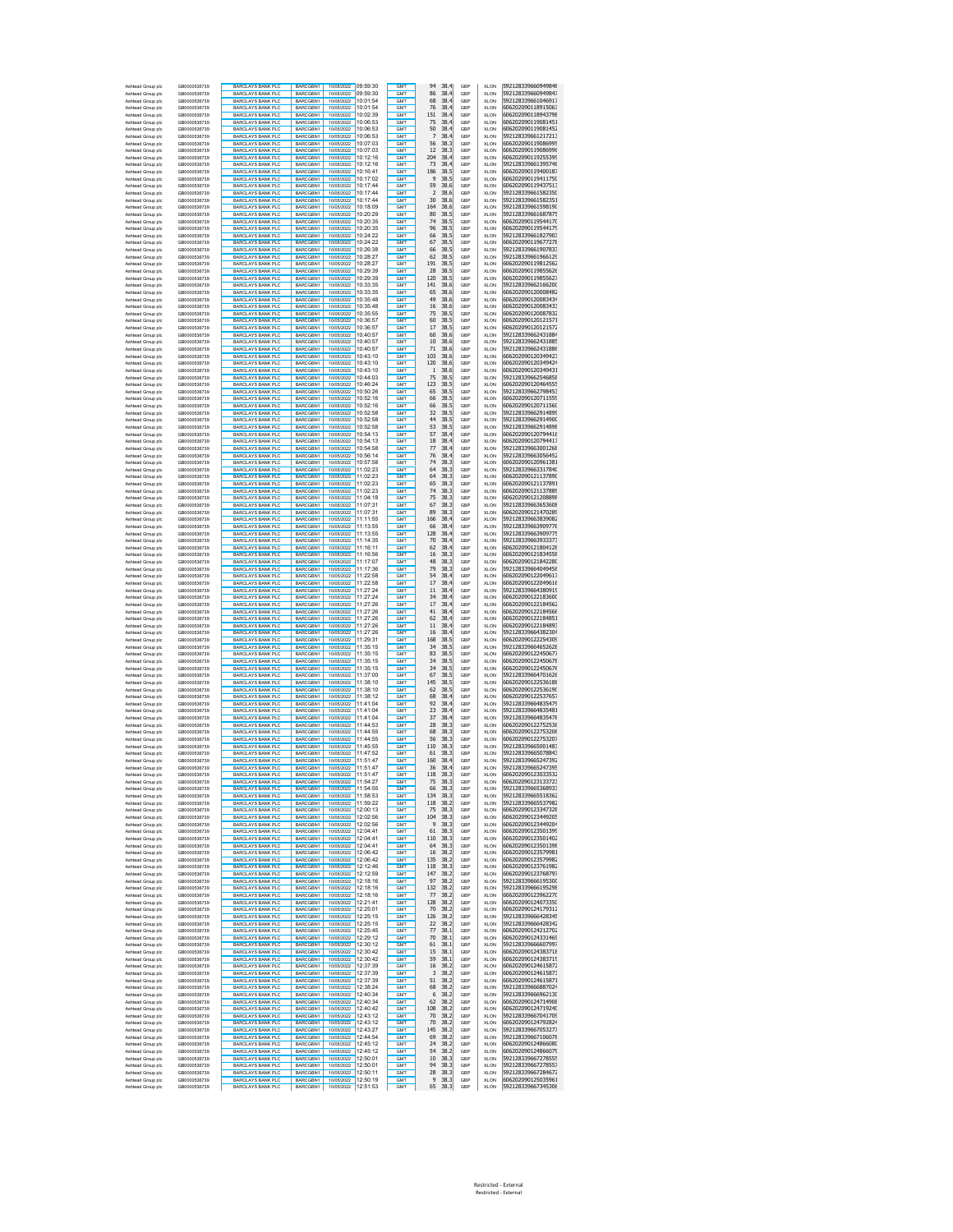| Ashtead Group plc<br>Ashtead Group plc    | GB0000536739<br>GB0000536739 | <b>BARCLAYS BANK PLC</b><br><b>BARCLAYS BANK PLC</b> | BARCGBN1<br>BARCGBN1               | 10/05/2022 09:59:30<br>10/05/2022 09:59:30 |          | GMT<br>GMT                         | 38.4<br>94<br>86<br>38.4             | GBP<br>GBP | <b>XLON</b><br><b>XLON</b> | 592128339660949848<br>592128339660949847 |
|-------------------------------------------|------------------------------|------------------------------------------------------|------------------------------------|--------------------------------------------|----------|------------------------------------|--------------------------------------|------------|----------------------------|------------------------------------------|
| Ashtead Group plc                         | GB0000536739                 | <b>BARCLAYS BANK PLC</b>                             | BARCGBN1                           | 10/05/2022 10:01:54                        |          | <b>GMT</b>                         | 68<br>38.4                           | GBP        | <b>XLON</b>                | 592128339661046917                       |
| Ashtead Group plc<br>Ashtead Group plc    | GB0000536739<br>GB0000536739 | <b>BARCLAYS BANK PLO</b><br><b>BARCLAYS BANK PLC</b> | BARCGBN1<br>BARCGBN1               | 10/05/2022<br>10/05/2022 10:02:39          | 10:01:54 | <b>GMT</b><br><b>GMT</b>           | 76<br>38.4<br>151<br>38.4            | GBP<br>GBP | <b>XLON</b><br>XLON        | 606202090118915063<br>606202090118943798 |
| Ashtead Group plc                         | GB0000536739                 | <b>BARCLAYS BANK PLC</b>                             | BARCGBN1                           | 10/05/2022 10:06:53                        |          | <b>GMT</b>                         | 75<br>38.4                           | GBP        | XLON                       | 606202090119081451                       |
| Ashtead Group plc<br>Ashtead Group plc    | GB0000536739<br>GB0000536739 | <b>BARCLAYS BANK PLC</b><br><b>BARCLAYS BANK PLC</b> | BARCGBN1<br>BARCGBN1               | 10/05/2022 10:06:53<br>10/05/2022 10:06:53 |          | <b>GMT</b><br><b>GMT</b>           | 50<br>38.4<br>7<br>38.4              | GBP<br>GBP | XLON<br>XLON               | 606202090119081452<br>592128339661217213 |
| Ashtead Group plc                         | GB0000536739                 | <b>BARCLAYS BANK PLC</b>                             | BARCGBN1                           | 10/05/2022 10:07:03                        |          | <b>GMT</b>                         | 56<br>38.3                           | GBP        | XLON                       | 606202090119086995                       |
| Ashtead Group plc                         | GB0000536739                 | <b>BARCLAYS BANK PLC</b>                             | BARCGBN1                           | 10/05/2022 10:07:03                        |          | <b>GMT</b>                         | 12<br>38.3                           | GBP        | XLON                       | 606202090119086996                       |
| Ashtead Group plc<br>Ashtead Group plc    | GB0000536739<br>GB0000536739 | <b>BARCLAYS BANK PLC</b><br><b>BARCLAYS BANK PLC</b> | BARCGBN1<br>BARCGBN1               | 10/05/2022 10:12:16<br>10/05/2022 10:12:16 |          | GM <sub>1</sub><br><b>GMT</b>      | 204<br>38.4<br>73<br>38.4            | GBP<br>GBP | <b>XLON</b><br><b>XLON</b> | 606202090119255399<br>592128339661395746 |
| Ashtead Group plc                         | GB0000536739                 | <b>BARCLAYS BANK PLC</b>                             | BARCGBN1                           | 10/05/2022 10:16:41                        |          | GM <sub>1</sub>                    | 186<br>38.5                          | GBP        | <b>XLON</b>                | 606202090119400187                       |
| Ashtead Group plc<br>Ashtead Group plc    | GB0000536739<br>GB0000536739 | <b>BARCLAYS BANK PLC</b><br><b>BARCLAYS BANK PLC</b> | BARCGBN1<br>BARCGBN1               | 10/05/2022 10:17:02<br>10/05/2022 10:17:44 |          | GMT<br>GMT                         | 9<br>38.5<br>59<br>38.6              | GBP<br>GBP | <b>XLON</b><br><b>XLON</b> | 606202090119411750<br>606202090119437513 |
| Ashtead Group plc                         | GB0000536739                 | <b>BARCLAYS BANK PLC</b>                             | BARCGBN1                           | 10/05/2022 10:17:44                        |          | GMT                                | $\overline{2}$<br>38.6               | GBP        | XLON                       | 592128339661582350                       |
| Ashtead Group plc<br>Ashtead Group plc    | GB0000536739<br>GB0000536739 | <b>BARCLAYS BANK PLC</b><br><b>BARCLAYS BANK PLC</b> | BARCGBN1<br>BARCGBN1               | 10/05/2022 10:17:44<br>10/05/2022 10:18:09 |          | GMT<br>GM <sub>1</sub>             | 30<br>38.6<br>164<br>38.6            | GBP<br>GBP | <b>XLON</b><br><b>XLON</b> | 592128339661582351<br>592128339661598190 |
| Ashtead Group plc                         | GB0000536739                 | <b>BARCLAYS BANK PLC</b>                             | BARCGBN1                           | 10/05/2022 10:20:29                        |          | GMT                                | 38.5<br>80                           | GBP        | <b>XLON</b>                | 592128339661687875                       |
| Ashtead Group plc<br>Ashtead Group plc    | GB0000536739<br>GB0000536739 | <b>BARCLAYS BANK PLC</b><br><b>BARCLAYS BANK PLC</b> | BARCGBN1<br>BARCGBN1               | 10/05/2022 10:20:35                        |          | GM <sub>1</sub><br><b>GMT</b>      | 74<br>38.5<br>96<br>38.5             | GBP<br>GBP | <b>XLON</b><br><b>XLON</b> | 606202090119544170<br>606202090119544179 |
| Ashtead Group plc                         | GB0000536739                 | <b>BARCLAYS BANK PLC</b>                             | BARCGBN1                           | 10/05/2022 10:20:35                        |          | GM <sub>1</sub>                    | 66<br>38.5                           | GBP        | <b>XLON</b>                | 592128339661827903                       |
| Ashtead Group plc<br>Ashtead Group plc    | GB0000536739<br>GB0000536739 | <b>BARCLAYS BANK PLC</b><br><b>BARCLAYS BANK PLC</b> | BARCGBN1<br>BARCGBN1               | 10/05/2022 10:24:22<br>10/05/2022 10:26:38 |          | GMT<br>GMT                         | 67<br>38.5<br>66<br>38.5             | GBP<br>GBP | <b>XLON</b><br><b>XLON</b> | 606202090119677278<br>592128339661907833 |
| Ashtead Group plc                         | GB0000536739                 | <b>BARCLAYS BANK PLC</b>                             | BARCGBN1                           | 10/05/2022 10:28:27                        |          | GMT                                | 62<br>38.5                           | GBP        | <b>XLON</b>                | 592128339661966129                       |
| Ashtead Group plc                         | GB0000536739<br>GB0000536739 | <b>BARCLAYS BANK PLC</b><br><b>BARCLAYS BANK PLC</b> | BARCGBN1<br>BARCGBN1               | 10/05/2022 10:28:27                        |          | GMT<br>GMT                         | 191<br>38.5<br>28<br>38.5            | GBP        | <b>XLON</b>                | 606202090119812562                       |
| Ashtead Group plc<br>Ashtead Group plc    | GB0000536739                 | <b>BARCLAYS BANK PLC</b>                             | BARCGBN1                           | 10/05/2022 10:29:39<br>10/05/2022 10:29:39 |          | <b>GMT</b>                         | 120<br>38.5                          | GBP<br>GBP | <b>XLON</b><br><b>XLON</b> | 606202090119855626<br>606202090119855627 |
| Ashtead Group plc                         | GB0000536739                 | <b>BARCLAYS BANK PLO</b>                             | BARCGBN1                           | 10/05/2022 10:33:35                        |          | <b>GMT</b>                         | 141<br>38.6                          | GBP        | XLON                       | 592128339662166200                       |
| Ashtead Group plc<br>Ashtead Group plc    | GB0000536739<br>GB0000536739 | <b>BARCLAYS BANK PLC</b><br><b>BARCLAYS BANK PLC</b> | BARCGBN1<br>BARCGBN1               | 10/05/2022 10:33:35<br>10/05/2022 10:35:48 |          | <b>GMT</b><br><b>GMT</b>           | 65<br>38.6<br>49<br>38.6             | GBP<br>GBP | XLON<br>XLON               | 606202090120008482<br>606202090120083434 |
| Ashtead Group plc                         | GB0000536739                 | <b>BARCLAYS BANK PLC</b>                             | BARCGBN1                           | 10/05/2022 10:35:48                        |          | <b>GMT</b>                         | 16<br>38.6                           | GBP        | XLON                       | 606202090120083433                       |
| Ashtead Group plc<br>Ashtead Group plc    | GB0000536739<br>GB0000536739 | <b>BARCLAYS BANK PLC</b><br><b>BARCLAYS BANK PLC</b> | BARCGBN1<br>BARCGBN1               | 10/05/2022 10:35:55<br>10/05/2022 10:36:57 |          | <b>GMT</b><br><b>GMT</b>           | 75<br>38.5<br>60<br>38.5             | GBP<br>GBP | XLON<br>XLON               | 606202090120087832<br>606202090120121571 |
| Ashtead Group plc                         | GB0000536739                 | <b>BARCLAYS BANK PLC</b>                             | BARCGBN1                           | 10/05/2022 10:36:57                        |          | <b>GMT</b>                         | 17<br>38.5                           | GBP        | XLON                       | 606202090120121572                       |
| Ashtead Group plc<br>Ashtead Group plc    | GB0000536739<br>GB0000536739 | <b>BARCLAYS BANK PLC</b><br><b>BARCLAYS BANK PLC</b> | BARCGBN1<br>BARCGBN1               | 10/05/2022 10:40:57<br>10/05/2022 10:40:57 |          | GM <sub>1</sub><br>GM <sub>1</sub> | 38.6<br>60<br>10<br>38.6             | GBP<br>GBP | <b>XLON</b><br><b>XLON</b> | 592128339662431884<br>592128339662431885 |
| Ashtead Group plc                         | GB0000536739                 | <b>BARCLAYS BANK PLC</b>                             | BARCGBN1                           | 10/05/2022 10:40:57                        |          | GM <sub>1</sub>                    | 71<br>38.6                           | GBP        | <b>XLON</b>                | 592128339662431886                       |
| Ashtead Group plc<br>Ashtead Group plc    | GB0000536739<br>GB0000536739 | <b>BARCLAYS BANK PLC</b><br><b>BARCLAYS BANK PLC</b> | BARCGBN1<br>BARCGBN1               | 10/05/2022 10:43:10<br>10/05/2022 10:43:10 |          | GMT<br>GMT                         | 103<br>38.6<br>120<br>38.6           | GBP<br>GBP | <b>XLON</b><br><b>XLON</b> | 606202090120349423<br>606202090120349424 |
| Ashtead Group plc                         | GB0000536739                 | <b>BARCLAYS BANK PLC</b>                             | BARCGBN1                           | 10/05/2022 10:43:10                        |          | <b>GMT</b>                         | 38.6<br>1                            | GBP        | XLON                       | 606202090120349431                       |
| Ashtead Group plc<br>Ashtead Group plc    | GB0000536739<br>GB0000536739 | BARCLAYS BANK PLC<br><b>BARCLAYS BANK PLC</b>        | BARCGBN1<br>BARCGBN1               | 10/05/2022 10:44:03<br>10/05/2022 10:46:24 |          | GMT<br>GM <sub>1</sub>             | 75<br>38.5<br>123<br>38.5            | GBP<br>GBP | <b>XLON</b><br><b>XLON</b> | 592128339662546858<br>606202090120464555 |
| Ashtead Group plc                         | GB0000536739                 | <b>BARCLAYS BANK PLC</b>                             | BARCGBN1                           | 10/05/2022 10:50:26                        |          | <b>GMT</b>                         | 65<br>38.5                           | GBP        | <b>XLON</b>                | 592128339662798453                       |
| Ashtead Group plc<br>Ashtead Group plc    | GB0000536739<br>GB0000536739 | <b>BARCLAYS BANK PLC</b><br><b>BARCLAYS BANK PLC</b> | BARCGBN1<br>BARCGBN1               | 1005/2022 10:52:16                         |          | GM <sub>1</sub><br><b>GMT</b>      | 66<br>38.5<br>38.5<br>66             | GBP<br>GBP | <b>XLON</b><br><b>XLON</b> | 606202090120711559<br>606202090120711560 |
| Ashtead Group plc                         | GB0000536739                 | <b>BARCLAYS BANK PLC</b>                             | BARCGBN1                           | 10/05/2022 10:52:16                        |          | GM <sub>1</sub>                    | 32<br>38.5                           | GBP        | <b>XLON</b>                | 592128339662914899                       |
| Ashtead Group plc                         | GR0000536739<br>GB0000536739 | <b>BARCLAYS BANK PLC</b>                             | BARCGBN1                           | 10/05/2022 10:52:58                        |          | GMT<br>GMT                         | 44<br>38.5<br>53<br>38.5             | GBP        | <b>XLON</b>                | 592128339662914900<br>592128339662914898 |
| Ashtead Group plc<br>Ashtead Group plc    | GB0000536739                 | <b>BARCLAYS BANK PLC</b><br><b>BARCLAYS BANK PLO</b> | BARCGBN1<br>BARCGBN1               | 10/05/2022 10:52:58<br>10/05/2022 10:54:13 |          | GMT                                | 57<br>38.4                           | GBP<br>GBP | <b>XLON</b><br><b>XLON</b> | 606202090120794416                       |
| Ashtead Group plc                         | GB0000536739<br>GB0000536739 | <b>BARCLAYS BANK PLC</b><br><b>BARCLAYS BANK PLC</b> | BARCGBN1<br>BARCGBN1               | 10/05/2022 10:54:13<br>10/05/2022 10:54:58 |          | GMT<br>GMT                         | 18<br>38.4<br>77<br>38.4             | GBP<br>GBP | <b>XLON</b><br><b>XLON</b> | 606202090120794417<br>592128339663001268 |
| Ashtead Group plc<br>Ashtead Group plc    | GB0000536739                 | <b>BARCLAYS BANK PLC</b>                             | BARCGBN1                           | 10/05/2022 10:56:14                        |          | <b>GMT</b>                         | 76<br>38.4                           | GBP        | <b>XLON</b>                | 592128339663056452                       |
| Ashtead Group plc                         | GB0000536739                 | <b>BARCLAYS BANK PLO</b>                             | BARCGBN1                           | 10/05/2022 10:57:58                        |          | <b>GMT</b>                         | 74<br>38.3                           | GBP        | <b>XLON</b>                | 606202090120961381                       |
| Ashtead Group plc<br>Ashtead Group plc    | GB0000536739<br>GB0000536739 | <b>BARCLAYS BANK PLC</b><br><b>BARCLAYS BANK PLC</b> | BARCGBN1<br>BARCGBN1               | 10/05/2022 11:02:23<br>10/05/2022 11:02:23 |          | <b>GMT</b><br><b>GMT</b>           | 64<br>38.3<br>64<br>38.3             | GBP<br>GBP | XLON<br>XLON               | 592128339663317840<br>606202090121137890 |
| Ashtead Group plc                         | GB0000536739                 | <b>BARCLAYS BANK PLC</b>                             | BARCGBN1                           | 10/05/2022 11:02:23                        |          | <b>GMT</b>                         | 65<br>38.3                           | GBP        | XLON                       | 606202090121137891                       |
| Ashtead Group plc<br>Ashtead Group plc    | GB0000536739<br>GB0000536739 | <b>BARCLAYS BANK PLC</b><br><b>BARCLAYS BANK PLC</b> | BARCGBN1<br>BARCGBN1               | 10/05/2022 11:02:23<br>10/05/2022 11:04:18 |          | <b>GMT</b><br><b>GMT</b>           | 74<br>38.3<br>75<br>38.3             | GBP<br>GBP | XLON<br>XLON               | 606202090121137889<br>606202090121208898 |
| Ashtead Group plc                         | GB0000536739                 | <b>BARCLAYS BANK PLC</b>                             | BARCGBN1                           | 10/05/2022 11:07:31                        |          | <b>GMT</b>                         | 67<br>38.3                           | GBP        | XLON                       | 592128339663653608                       |
| Ashtead Group plc<br>Ashtead Group plc    | GB0000536739<br>GB0000536739 | <b>BARCLAYS BANK PLC</b><br><b>BARCLAYS BANK PLC</b> | BARCGBN1<br>BARCGBN1               | 10/05/2022 11:07:31<br>10/05/2022 11:11:55 |          | GM <sub>1</sub><br>GM <sub>1</sub> | 89<br>38.3<br>166<br>38.4            | GBP<br>GBP | <b>XLON</b><br><b>XLON</b> | 606202090121470289<br>592128339663839082 |
| Ashtead Group plc                         | GB0000536739                 | <b>BARCLAYS BANK PLC</b>                             | BARCGBN1                           | 10/05/2022 11:13:55                        |          | GM <sub>1</sub>                    | 66<br>38.4                           | GBP        | <b>XLON</b>                | 592128339663909776                       |
| Ashtead Group plc<br>Ashtead Group plc    | GB0000536739<br>GB0000536739 | <b>BARCLAYS BANK PLC</b><br><b>BARCLAYS BANK PLC</b> | BARCGBN1<br>BARCGBN1               | 10/05/2022 11:13:55<br>10/05/2022 11:14:35 |          | GMT<br>GMT                         | 128<br>38.4<br>70<br>38.4            | GBP<br>GBP | <b>XLON</b><br><b>XLON</b> | 592128339663909775<br>592128339663933373 |
| Ashtead Group plc                         | GB0000536739                 | <b>BARCLAYS BANK PLC</b>                             | BARCGBN1                           | 10/05/2022 11:16:11                        |          | <b>GMT</b>                         | 62<br>38.4                           | GBP        | XLON                       | 606202090121804128                       |
| Ashtead Group plc<br>Ashtead Group plc    | GB0000536739<br>GB0000536739 | <b>BARCLAYS BANK PLC</b><br><b>BARCLAYS BANK PLC</b> | BARCGBN1<br>BARCGBN1               | 10/05/2022 11:16:56<br>10/05/2022 11:17:07 |          | GMT<br>GM <sub>1</sub>             | 38.3<br>16<br>48<br>38.3             | GBP<br>GBP | <b>XLON</b><br><b>XLON</b> | 606202090121834558<br>606202090121842280 |
| Ashtead Group plc                         | GB0000536739                 | <b>BARCLAYS BANK PLC</b>                             | BARCGBN1                           | 10/05/2022 11:17:36                        |          | <b>GMT</b>                         | 79<br>38.3                           | GBP        | <b>XLON</b>                | 592128339664049456                       |
| Ashtead Group plc<br>Ashtead Group plc    | GB0000536739<br>GB0000536739 | <b>BARCLAYS BANK PLC</b><br><b>BARCLAYS BANK PLC</b> | BARCGBN1<br>BARCGBN1               | 10/05/2022 11:22:58                        |          | GM <sub>1</sub><br><b>GMT</b>      | 54<br>38.4<br>38.4<br>17             | GBP<br>GBP | <b>XLON</b><br><b>XLON</b> | 606202090122049617<br>606202090122049616 |
| Ashtead Group plc                         | GB0000536739                 | <b>BARCLAYS BANK PLC</b>                             | BARCGBN1                           | 10/05/2022 11:22:58                        |          | GM <sub>1</sub>                    | 38.4<br>11                           | GBP        | <b>XLON</b>                | 592128339664380919                       |
| Ashtead Group plc                         | GB0000536739                 | <b>BARCLAYS BANK PLC</b>                             | BARCGBN1                           | 10/05/2022 11:27:24                        |          | GMT                                | 34<br>38.4                           | GBP        | <b>XLON</b>                | 606202090122183600                       |
| Ashtead Group plc<br>Ashtead Group plc    | GB0000536739<br>GB0000536739 | <b>BARCLAYS BANK PLC</b><br><b>BARCLAYS BANK PLO</b> | BARCGBN1<br>BARCGBN1               | 10/05/2022 11:27:26<br>10/05/2022 11:27:26 |          | GMT<br>GMT                         | 17<br>38.4<br>41<br>38.4             | GBP<br>GBP | <b>XLON</b><br><b>XLON</b> | 606202090122184562<br>606202090122184566 |
| Ashtead Group plc                         | GB0000536739                 | <b>BARCLAYS BANK PLC</b>                             | BARCGBN1                           | 10/05/2022 11:27:26                        |          | GMT<br>GMT                         | 62<br>38.4                           | GBP        | <b>XLON</b>                | 606202090122184851                       |
| Ashtead Group plc<br>Ashtead Group plc    | GB0000536739<br>GB0000536739 | <b>BARCLAYS BANK PLO</b><br><b>BARCLAYS BANK PLC</b> | BARCGBN1<br>BARCGBN1               | 10/05/2022 11:27:26<br>10/05/2022 11:27:26 |          | <b>GMT</b>                         | 11<br>38.4<br>16<br>38.4             | GBP<br>GBP | <b>XLON</b><br><b>XLON</b> | 606202090122184893<br>592128339664382304 |
| Ashtead Group plc                         | GB0000536739                 | <b>BARCLAYS BANK PLO</b>                             | BARCGBN1                           | 10/05/2022 11:29:31                        |          | <b>GMT</b>                         | 168<br>38.5                          | GBP        | <b>XLON</b>                | 606202090122254309                       |
| Ashtead Group plc<br>Ashtead Group plc    | GB0000536739<br>GB0000536739 | <b>BARCLAYS BANK PLC</b><br><b>BARCLAYS BANK PLC</b> | BARCGBN1<br>BARCGBN1               | 10/05/2022 11:35:15<br>10/05/2022 11:35:15 |          | <b>GMT</b><br><b>GMT</b>           | 34<br>38.5<br>83<br>38.5             | GBP<br>GBP | XLON<br>XLON               | 592128339664652628<br>606202090122450677 |
| Ashtead Group plc                         | GB0000536739                 | <b>BARCLAYS BANK PLC</b>                             | BARCGBN1                           | 10/05/2022 11:35:15                        |          | <b>GMT</b>                         | 34<br>38.5                           | GBP        | XLON                       | 606202090122450678                       |
| Ashtead Group plc<br>Ashtead Group plc    | GB0000536739<br>GB0000536739 | <b>BARCLAYS BANK PLC</b><br><b>BARCLAYS BANK PLC</b> | BARCGBN1<br>BARCGBN1               | 10/05/2022 11:35:15<br>10/05/2022 11:37:00 |          | <b>GMT</b><br><b>GMT</b>           | 34<br>38.5<br>67<br>38.5             | GBP<br>GBP | XLON<br>XLON               | 606202090122450676<br>592128339664701626 |
| Ashtead Group plc                         | GB0000536739                 | <b>BARCLAYS BANK PLC</b>                             | BARCGBN1                           | 10/05/2022 11:38:10                        |          | <b>GMT</b>                         | 145<br>38.5                          | GBP        | XLON                       | 606202090122536188                       |
| Ashtead Group plc<br>Ashtead Group plc    | GB0000536739<br>GB0000536739 | <b>BARCLAYS BANK PLC</b><br><b>BARCLAYS BANK PLC</b> | BARCGBN1<br>BARCGBN1               | 10/05/2022 11:38:10<br>10/05/2022 11:38:12 |          | GM <sub>1</sub><br>GM <sub>1</sub> | 38.5<br>62<br>68<br>38.4             | GBP<br>GBP | <b>XLON</b><br><b>XLON</b> | 606202090122536190<br>606202090122537657 |
| Ashtead Group plc                         | GB0000536739                 | <b>BARCLAYS BANK PLC</b>                             | BARCGBN1                           | 10/05/2022 11:41:04                        |          | GM <sub>1</sub>                    | 92<br>38.4                           | GBP        | <b>XLON</b>                | 592128339664835479                       |
| Ashtead Group plc<br>Ashtead Group plc    | GB0000536739<br>GB0000536739 | <b>BARCLAYS BANK PLC</b><br><b>BARCLAYS BANK PLC</b> | BARCGBN1<br>BARCGBN1               | 10/05/2022 11:41:04<br>10/05/2022 11:41:04 |          | GMT<br>GMT                         | 23<br>38.4<br>37<br>38.4             | GBP<br>GBP | <b>XLON</b><br><b>XLON</b> | 592128339664835481<br>592128339664835478 |
| Ashtead Group plc                         | GB0000536739                 | <b>BARCLAYS BANK PLC</b>                             | BARCGBN1                           | 10/05/2022 11:44:53                        |          | GMT                                | 28<br>38.3                           | GBP        | <b>XLON</b>                | 606202090122752536                       |
| Ashtead Group plc<br>Ashtead Group plc    | GB0000536739<br>GB0000536739 | BARCLAYS BANK PLC<br><b>BARCLAYS BANK PLO</b>        | BARCGBN1<br>BARCGBN1               | 10/05/2022 11:44:55<br>10/05/2022 11:44:55 |          | <b>GMT</b><br>GM <sub>1</sub>      | 68<br>38.3<br>56<br>38.3             | GBP<br>GBP | <b>XLON</b><br><b>XLON</b> | 606202090122753206<br>606202090122753207 |
| Ashtead Group plc                         | GB0000536739                 | BARCLAYS BANK PLC                                    | BARCGBN1                           | 1005/2022 11:45:55                         |          | <b>GMT</b>                         | 110<br>38.3                          | GBP        | <b>XLON</b>                | 592128339665001483                       |
| Ashtead Group plc<br>Ashtead Group plc    | GB0000536739<br>GB0000536739 | BARCLAYS BANK PLC<br><b>BARCLAYS BANK PLC</b>        | BARCGBN1<br><b>BARCGRN1</b>        | 10/05/2022 11:47:52                        |          | GM <sub>1</sub><br><b>GMT</b>      | 38.3<br>61<br>160<br>38.4            | GBP<br>GBP | <b>XLON</b><br><b>XLON</b> | 592128339665078843<br>592128339665247392 |
| Ashtead Group plc                         | GB0000536739                 | <b>BARCLAYS BANK PLC</b>                             | BARCGBN1                           | 10/05/2022 11:51:47                        |          | <b>GMT</b>                         | 36<br>38.4                           | GBP        | <b>XLON</b>                | 592128339665247395                       |
| Asht<br>ad Group plo<br>Ashtead Group plc | GR0000536739<br>GB0000536739 | <b>BARCLAYS BANK PLO</b><br><b>BARCLAYS BANK PLC</b> | <b>BARCGRN1</b><br>BARCGBN1        | 10/05/2022<br>10/05/2022 11:54:27          | 11:51:47 | GMT<br>GMT                         | 118<br>38.3<br>38.3<br>75            | GRP<br>GBP | XI ON<br><b>XLON</b>       | 606202090123033532<br>606202090123133723 |
| Ashtead Group plc                         | GB0000536739                 | <b>BARCLAYS BANK PLC</b>                             | BARCGBN1                           | 10/05/2022 11:54:55                        |          | GMT                                | 66<br>38.3                           | GBP        | XLON                       | 592128339665368933                       |
| Ashtead Group plc<br>Ashtead Group plc    | GB0000536739<br>GB0000536739 | <b>BARCLAYS BANK PLC</b><br><b>BARCLAYS BANK PLC</b> | BARCGBN1<br>RARCGBN1               | 10/05/2022 11:58:53<br>10/05/2022 11:59:22 |          | GMT<br>GMT                         | 134<br>38.3<br>118<br>38.2           | GBP<br>GBP | <b>XLON</b><br><b>XLON</b> | 592128339665518362<br>592128339665537982 |
| Ashtead Group plc                         | GB0000536739                 | <b>BARCLAYS BANK PLC</b>                             | BARCGBN1                           | 10/05/2022 12:00:13                        |          | <b>GMT</b>                         | 75<br>38.3                           | GBP        | <b>XLON</b>                | 606202090123347328                       |
| Ashtead Group plc<br>Ashtead Group plc    | GB0000536739<br>GB0000536739 | <b>BARCLAYS BANK PLC</b><br><b>BARCLAYS BANK PLC</b> | RARCGBN1<br>BARCGBN1               | 10/05/2022 12:02:56<br>10/05/2022 12:02:56 |          | GMT<br><b>GMT</b>                  | 104<br>38.3<br>38.3<br>9             | GBP<br>GBP | <b>XLON</b><br>XLON        | 606202090123449205<br>606202090123449204 |
| Ashtead Group plc                         | GB0000536739                 | <b>BARCLAYS BANK PLC</b>                             | BARCGBN1                           | 10/05/2022 12:04:41                        |          | <b>GMT</b>                         | 61<br>38.3                           | GBP        | XLON                       | 606202090123501399                       |
| Ashtead Group plc<br>Ashtead Group plc    | GB0000536739<br>GB0000536739 | <b>BARCLAYS BANK PLC</b><br><b>BARCLAYS BANK PLC</b> | BARCGBN1<br>BARCGBN1               | 10/05/2022 12:04:41<br>10/05/2022 12:04:41 |          | <b>GMT</b><br><b>GMT</b>           | 110<br>38.3<br>64<br>38.3            | GBP<br>GBP | XLON<br>XLON               | 606202090123501402<br>606202090123501398 |
| Ashtead Group plc                         | GB0000536739                 | <b>BARCLAYS BANK PLC</b>                             | BARCGBN1                           | 10/05/2022 12:06:42                        |          | <b>GMT</b>                         | 16<br>38.2                           | GBP        | XLON                       | 606202090123579981                       |
| Ashtead Group plc<br>Ashtead Group plc    | GB0000536739<br>GB0000536739 | <b>BARCLAYS BANK PLC</b><br><b>BARCLAYS BANK PLC</b> | BARCGBN1<br>BARCGBN1               | 10/05/2022 12:06:42<br>10/05/2022 12:12:46 |          | <b>GMT</b><br>GMT                  | 135<br>38.2<br>118<br>38.3           | GBP<br>GBP | XLON<br><b>XLON</b>        | 606202090123579982<br>606202090123761982 |
| Ashtead Group plc                         | GB0000536739                 | <b>BARCLAYS BANK PLC</b>                             | BARCGBN1                           | 10/05/2022 12:12:59                        |          | GMT                                | 147<br>38.2                          | GBP        | XLON                       | 606202090123768797                       |
| Ashtead Group plc<br>Ashtead Group plc    | GB0000536739<br>GB0000536739 | <b>BARCLAYS BANK PLC</b><br><b>BARCLAYS BANK PLC</b> | BARCGBN1<br>BARCGBN1               | 10/05/2022 12:18:16<br>10/05/2022 12:18:16 |          | GM <sub>1</sub><br><b>GMT</b>      | 97<br>38.2<br>132<br>38.2            | GBP<br>GBP | <b>XLON</b><br>XLON        | 592128339666195300<br>592128339666195298 |
| Ashtead Group plc                         | GB0000536739                 | <b>BARCLAYS BANK PLC</b>                             | BARCGBN1                           | 10/05/2022 12:18:16                        |          | GMT                                | 38.2<br>77                           | GBP        | <b>XLON</b>                | 606202090123962270                       |
| Ashtead Group plc                         | GB0000536739<br>GB0000536739 | <b>BARCLAYS BANK PLC</b><br>BARCLAYS BANK PLC        | BARCGBN1<br>BARCGBN1               | 10/05/2022 12:21:41<br>10/05/2022 12:25:01 |          | <b>GMT</b><br>GMT                  | 128<br>38.2<br>70<br>38.2            | GBP<br>GBP | XLON<br><b>XLON</b>        | 606202090124073350<br>606202090124179312 |
| Ashtead Group plc<br>Ashtead Group plc    | GB0000536739                 | <b>BARCLAYS BANK PLC</b>                             | BARCGBN1                           | 10/05/2022 12:25:15                        |          | <b>GMT</b>                         | 38.2<br>126                          | GBP        | <b>XLON</b>                | 592128339666428345                       |
| Ashtead Group plc<br>Ashtead Group plc    | GB0000536739<br>GB0000536739 | BARCLAYS BANK PLC<br><b>BARCLAYS BANK PLC</b>        | BARCGBN1<br>BARCGBN1               | 10/05/2022 12:25:15<br>10/05/2022 12:25:45 |          | GMT<br>GMT                         | 38.2<br>22<br>77<br>38.1             | GBP<br>GBP | <b>XLON</b><br><b>XLON</b> | 592128339666428342<br>606202090124212702 |
| Ashtead Group plc                         | GB0000536739                 | BARCLAYS BANK PLC                                    | BARCGBN1                           | 10/05/2022 12:29:12                        |          | <b>GMT</b>                         | 70<br>38.1                           | GBP        | <b>XLON</b>                | 606202090124331469                       |
| Ashtead Group plc                         | GB0000536739                 | <b>BARCLAYS BANK PLC</b>                             | <b>BARCGRN1</b><br><b>BARCGRN1</b> |                                            |          | <b>GMT</b><br><b>GMT</b>           | 38.1<br>61                           | GBP        | <b>XLON</b>                | 592128339666607997                       |
| Ashtead Group plc<br>Ashtead Group plc    | GB0000536739<br>GB0000536739 | <b>BARCLAYS BANK PLC</b><br><b>BARCLAYS BANK PLC</b> | BARCGBN1                           | 10/05/2022 12:30:42<br>10/05/2022 12:30:42 |          | GMT                                | 15<br>38.1<br>59<br>38.1             | GBP<br>GBP | <b>XLON</b><br><b>XLON</b> | 606202090124383718<br>606202090124383719 |
| Ashtead Group plc                         | GB0000536739                 | <b>BARCLAYS BANK PLC</b>                             | BARCGBN1                           | 10/05/2022 12:37:39                        |          | GMT                                | 16<br>38.2                           | GBP        | <b>XLON</b>                | 606202090124615872                       |
| Ashtead Group plc<br>Ashtead Group plc    | GB0000536739<br>GB0000536739 | <b>BARCLAYS BANK PLC</b><br><b>BARCLAYS BANK PLC</b> | BARCGBN1<br>RARCGBN1               | 10/05/2022 12:37:39<br>10/05/2022 12:37:39 |          | GMT<br><b>GMT</b>                  | $\overline{3}$<br>38.2<br>51<br>38.2 | GBP<br>GBP | <b>XLON</b><br><b>XLON</b> | 606202090124615873<br>606202090124615871 |
| Ashtead Group plc                         | GB0000536739                 | <b>BARCLAYS BANK PLC</b>                             | BARCGBN1                           | 10/05/2022 12:38:24                        |          | <b>GMT</b>                         | 68<br>38.2                           | GBP        | <b>XLON</b>                | 592128339666887024                       |
| Ashtead Group plc<br>Ashtead Group plc    | GB0000536739<br>GB0000536739 | <b>BARCLAYS BANK PLC</b><br><b>BARCLAYS BANK PLC</b> | BARCGBN1<br>BARCGBN1               | 10/05/2022 12:40:34<br>10/05/2022 12:40:34 |          | GMT<br><b>GMT</b>                  | 6<br>38.2<br>62<br>38.2              | GBP<br>GBP | <b>XLON</b><br>XLON        | 592128339666962130<br>606202090124714908 |
| Ashtead Group plc                         | GB0000536739                 | <b>BARCLAYS BANK PLC</b>                             | BARCGBN1                           | 10/05/2022 12:40:42                        |          | <b>GMT</b>                         | 108<br>38.2                          | GBP        | XLON                       | 606202090124719240                       |
| Ashtead Group plc<br>Ashtead Group plc    | GB0000536739<br>GB0000536739 | <b>BARCLAYS BANK PLC</b><br><b>BARCLAYS BANK PLC</b> | BARCGBN1<br>BARCGBN1               | 10/05/2022 12:43:12<br>10/05/2022 12:43:12 |          | <b>GMT</b><br><b>GMT</b>           | 38.2<br>70<br>70<br>38.2             | GBP<br>GBP | XLON<br>XLON               | 592128339667041709<br>606202090124792824 |
| Ashtead Group plc                         | GB0000536739                 | <b>BARCLAYS BANK PLC</b>                             | BARCGBN1                           | 10/05/2022 12:43:27                        |          | <b>GMT</b>                         | 38.2<br>145                          | GBP        | XLON                       | 592128339667053277                       |
| Ashtead Group plc<br>Ashtead Group plc    | GB0000536739<br>GB0000536739 | <b>BARCLAYS BANK PLC</b><br><b>BARCLAYS BANK PLC</b> | BARCGBN1<br>BARCGBN1               | 10/05/2022 12:44:54<br>10/05/2022 12:45:12 |          | <b>GMT</b><br>GMT                  | 69<br>38.2<br>24<br>38.2             | GBP<br>GBP | XLON<br><b>XLON</b>        | 592128339667106078<br>606202090124866080 |
| Ashtead Group plc                         | GB0000536739                 | <b>BARCLAYS BANK PLC</b>                             | BARCGBN1                           | 10/05/2022 12:45:12                        |          | GMT                                | 54<br>38.2                           | GBP        | XLON                       | 606202090124866079                       |
| Ashtead Group plc<br>Ashtead Group plc    | GB0000536739<br>GB0000536739 | <b>BARCLAYS BANK PLC</b><br><b>BARCLAYS BANK PLC</b> | BARCGBN1<br>BARCGBN1               | 10/05/2022 12:50:01<br>10/05/2022 12:50:01 |          | GMT<br><b>GMT</b>                  | 10<br>38.3<br>94<br>38.3             | GBP<br>GBP | <b>XLON</b><br>XLON        | 592128339667278555<br>592128339667278557 |
| Ashtead Group plc                         | GB0000536739                 | <b>BARCLAYS BANK PLC</b>                             | BARCGBN1                           | 10/05/2022 12:50:11                        |          | GMT                                | 28<br>38.3                           | GBP        | <b>XLON</b>                | 592128339667284672                       |
| Ashtead Group plc<br>Ashtead Group plo    | GB0000536739<br>GB0000536739 | <b>BARCLAYS BANK PLC</b><br><b>BARCLAYS BANK PLC</b> | BARCGBN1<br>BARCGBN1               | 10/05/2022 12:50:19<br>10/05/2022 12:51:53 |          | GMT<br><b>GMT</b>                  | 9<br>38.3<br>38.3<br>65              | GBP<br>GBP | <b>XLON</b><br><b>XLON</b> | 606202090125035961<br>592128339667345306 |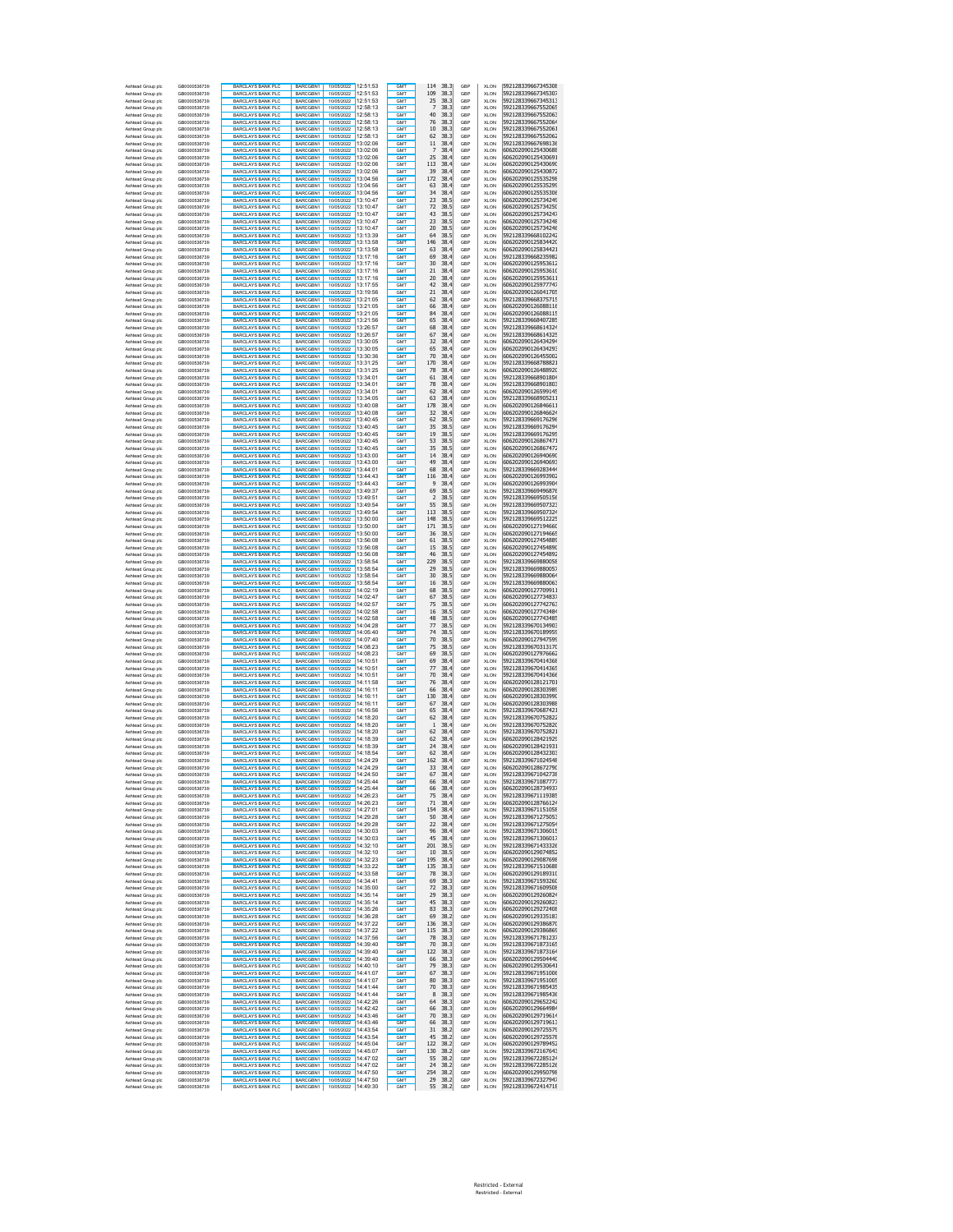| Ashtead Group bit<br>Ashtead Group plc | .<br>GB0000536739            | HARL LATS HANK PLL<br><b>BARCLAYS BANK PLC</b>       | <b>BARCGBN1</b><br>BARCGBN1        | 10/05/2022<br>10/05/2022                   | .<br>12:51:53        | GM I<br>GM <sub>1</sub>  | <br>эo<br>38.3<br>109              | uu<br>GBP  | <b>ALUN</b><br><b>XLON</b> | אחרבו ברי המהככס דדאמ<br>592128339667345307 |
|----------------------------------------|------------------------------|------------------------------------------------------|------------------------------------|--------------------------------------------|----------------------|--------------------------|------------------------------------|------------|----------------------------|---------------------------------------------|
| Ashtead Group plc<br>Ashtead Group plc | GB0000536739<br>GB0000536739 | <b>BARCLAYS BANK PLC</b><br><b>BARCLAYS BANK PLC</b> | BARCGBN1<br>BARCGBN1               | 10/05/2022<br>10/05/2022 12:58:13          | 12:51:53             | <b>GMT</b><br><b>GMT</b> | 25<br>38.3<br>38.3<br>7            | GBP<br>GBP | XLON<br><b>XLON</b>        | 592128339667345313<br>592128339667552065    |
| Ashtead Group plc<br>Ashtead Group plc | GB0000536739<br>GB0000536739 | BARCLAYS BANK PLC<br><b>BARCLAYS BANK PLC</b>        | BARCGBN1<br>BARCGBN1               | 10/05/2022 12:58:13<br>10/05/2022 12:58:13 |                      | GMT<br>GMT               | 40<br>38.3<br>76<br>38.3           | GBP<br>GBP | <b>XLON</b><br><b>XLON</b> | 592128339667552063<br>592128339667552064    |
| Ashtead Group plc                      | GB0000536739                 | <b>BARCLAYS BANK PLC</b>                             | BARCGRN1                           | 10/05/2022 12:58:13                        |                      | <b>GMT</b>               | 38.3<br>10                         | GBP        | <b>XLON</b>                | 592128339667552061                          |
| Ashtead Group plc<br>Ashtead Group plc | GB0000536739<br>GB0000536739 | <b>BARCLAYS BANK PLC</b><br><b>BARCLAYS BANK PLC</b> | BARCGBN1<br>BARCGBN1               | 10/05/2022 12:58:13<br>1005/2022 13:02:06  |                      | <b>GMT</b><br><b>GMT</b> | 62<br>38.3<br>38.4<br>11           | GBP<br>GBP | <b>XLON</b><br><b>XLON</b> | 592128339667552062<br>592128339667698136    |
| Ashtead Group plc                      | GB0000536739                 | <b>BARCLAYS BANK PLC</b>                             | BARCGBN1                           | 10/05/2022 13:02:06                        |                      | <b>GMT</b>               | 38.4<br>7                          | GBP        | <b>XLON</b>                | 606202090125430688                          |
| Ashtead Group plc<br>Ashtead Group plc | GB0000536739<br>GB0000536739 | <b>BARCLAYS BANK PLC</b><br><b>BARCLAYS BANK PLC</b> | BARCGBN1<br>BARCGBN1               | 10/05/2022 13:02:06<br>10/05/2022 13:02:06 |                      | GMT<br>GMT               | 25<br>38.4<br>113<br>38.4          | GBP<br>GBP | <b>XLON</b><br><b>XLON</b> | 606202090125430691<br>606202090125430690    |
| Ashtead Group plc<br>Ashtead Group plc | GB0000536739<br>GB0000536739 | <b>BARCLAYS BANK PLO</b><br><b>BARCLAYS BANK PLC</b> | BARCGBN1<br>BARCGBN1               | 10/05/2022<br>10/05/2022 13:04:56          | 13:02:06             | GMT<br>GMT               | 39<br>38.4<br>172<br>38.4          | GBP<br>GBP | XLON<br><b>XLON</b>        | 606202090125430872<br>606202090125535298    |
| Ashtead Group plc                      | GB0000536739                 | <b>BARCLAYS BANK PLO</b>                             | <b>BARCGRN1</b>                    | 10/05/2022 13:04:56                        |                      | <b>GMT</b>               | 63<br>38.4                         | GBP        | XLON                       | 606202090125535299                          |
| Ashtead Group plc<br>Ashtead Group plc | GB0000536739<br>GB0000536739 | <b>BARCLAYS BANK PLC</b><br><b>BARCLAYS BANK PLC</b> | BARCGBN1<br>BARCGBN1               | 10/05/2022<br>10/05/2022                   | 13:04:56<br>13:10:47 | <b>GMT</b><br><b>GMT</b> | 34<br>38.4<br>38.5<br>23           | GBP<br>GBP | XLON<br><b>XLON</b>        | 606202090125535306<br>606202090125734249    |
| Ashtead Group plc                      | GB0000536739                 | <b>BARCLAYS BANK PLC</b>                             | BARCGBN1                           | 10/05/2022                                 | 13:10:47             | GMT                      | 72<br>38.5                         | GBP        | <b>XLON</b>                | 606202090125734250                          |
| Ashtead Group plc<br>Ashtead Group plc | GB0000536739<br>GB0000536739 | <b>BARCLAYS BANK PLC</b><br><b>BARCLAYS BANK PLC</b> | BARCGBN1<br>BARCGBN1               | 10/05/2022 13:10:47<br>10/05/2022          | 13:10:47             | <b>GMT</b><br><b>GMT</b> | 43<br>38.5<br>23<br>38.5           | GBP<br>GBP | <b>XLON</b><br><b>XLON</b> | 606202090125734247<br>606202090125734248    |
| Ashtead Group plc<br>Ashtead Group plc | GB0000536739<br>GB0000536739 | <b>BARCLAYS BANK PLC</b><br><b>BARCLAYS BANK PLC</b> | BARCGBN1<br>BARCGBN1               | 10/05/2022 13:10:47<br>10/05/2022          | 13:13:39             | <b>GMT</b><br><b>GMT</b> | 20<br>38.5<br>64<br>38.5           | GBP<br>GBP | <b>XLON</b><br><b>XLON</b> | 606202090125734246<br>592128339668102242    |
| Ashtead Group plc                      | GB0000536739                 | <b>BARCLAYS BANK PLC</b>                             | BARCGBN1                           | 10/05/2022 13:13:58                        |                      | GMT                      | 146<br>38.4                        | GBP        | <b>XLON</b>                | 606202090125834420                          |
| Ashtead Group plc<br>Ashtead Group plc | GB0000536739<br>GB0000536739 | <b>BARCLAYS BANK PLC</b><br><b>BARCLAYS BANK PLC</b> | BARCGBN1<br>BARCGBN1               | 10/05/2022 13:13:58<br>10/05/2022 13:17:16 |                      | GMT<br>GMT               | 38.4<br>63<br>38.4<br>69           | GBP<br>GBP | <b>XLON</b><br><b>XLON</b> | 606202090125834421<br>592128339668235982    |
| Ashtead Group plc<br>Ashtead Group plc | GB0000536739<br>GB0000536739 | <b>BARCLAYS BANK PLC</b><br><b>BARCLAYS BANK PLC</b> | BARCGBN1<br>BARCGBN1               | 10/05/2022 13:17:16<br>10/05/2022 13:17:16 |                      | GMT<br><b>GMT</b>        | 38.4<br>30<br>21<br>38.4           | GBP<br>GBP | <b>XLON</b><br><b>XLON</b> | 606202090125953612<br>606202090125953610    |
| Ashtead Group plc                      | GB0000536739                 | <b>BARCLAYS BANK PLC</b>                             | BARCGBN1                           | 10/05/2022 13:17:16                        |                      | GMT                      | 38.4<br>20                         | GBP        | <b>XLON</b>                | 606202090125953611                          |
| Ashtead Group plc<br>Ashtead Group plc | GB0000536739<br>GB0000536739 | <b>BARCLAYS BANK PLC</b><br><b>BARCLAYS BANK PLC</b> | BARCGBN1<br><b>BARCGRN1</b>        | 10/05/2022 13:17:55<br>1005/2022 13:19:56  |                      | <b>GMT</b><br>GMT        | 42<br>38.4<br>38.4<br>21           | GBP<br>GBP | <b>XLON</b><br><b>XLON</b> | 606202090125977747<br>606202090126041705    |
| Ashtead Group plc<br>Ashtead Group plc | GB0000536739<br>GB0000536739 | <b>BARCLAYS BANK PLC</b><br><b>BARCLAYS BANK PLC</b> | BARCGBN1<br>BARCGRN1               | 10/05/2022 13:21:05<br>10/05/2022 13:21:05 |                      | GMT<br><b>GMT</b>        | 38.4<br>62<br>38.4<br>66           | GBP<br>GBP | <b>XLON</b><br><b>XLON</b> | 592128339668375715<br>606202090126088116    |
| Ashtead Group plc                      | GB0000536739                 | <b>BARCLAYS BANK PLC</b>                             | BARCGBN1                           | 10/05/2022 13:21:05                        |                      | GMT                      | 84<br>38.4                         | GBP        | <b>XLON</b>                | 606202090126088115                          |
| Ashtead Group plc<br>Ashtead Group plc | GB0000536739<br>GB0000536739 | <b>BARCLAYS BANK PLC</b><br><b>BARCLAYS BANK PLC</b> | BARCGBN1<br>BARCGBN1               | 10/05/2022 13:21:56<br>10/05/2022 13:26:57 |                      | <b>GMT</b><br><b>GMT</b> | 38.4<br>65<br>38.4<br>68           | GBP<br>GBP | <b>XLON</b><br><b>XLON</b> | 592128339668407285<br>592128339668614324    |
| Ashtead Group plc<br>Ashtead Group plc | GB0000536739<br>GB0000536739 | <b>BARCLAYS BANK PLC</b><br><b>BARCLAYS BANK PLO</b> | BARCGBN1<br>BARCGBN1               | 10/05/2022 13:26:57<br>10/05/2022 13:30:05 |                      | GMT<br>GMT               | 67<br>38.4<br>32<br>38.4           | GBP<br>GBP | <b>XLON</b><br>XLON        | 592128339668614325<br>606202090126434294    |
| Ashtead Group plc                      | GB0000536739                 | <b>BARCLAYS BANK PLO</b>                             | BARCGBN1                           | 10/05/2022                                 | 13:30:05             | GMT                      | 65<br>38.4                         | GBP        | XLON                       | 606202090126434293                          |
| Ashtead Group plc<br>Ashtead Group plc | GB0000536739<br>GB0000536739 | <b>BARCLAYS BANK PLC</b><br><b>BARCLAYS BANK PLO</b> | BARCGBN1<br>BARCGBN1               | 10/05/2022 13:30:36<br>10/05/2022          | 13:31:25             | GMT<br><b>GMT</b>        | 70<br>38.4<br>170<br>38.4          | GBP<br>GBP | <b>XLON</b><br>XLON        | 606202090126455002<br>592128339668788821    |
| Ashtead Group plo<br>Ashtead Group plc | GB0000536739<br>GB0000536739 | <b>BARCLAYS BANK PLC</b><br><b>BARCLAYS BANK PLC</b> | BARCGBN1<br>BARCGBN1               | 10/05/2022<br>10/05/2022                   | 13:31:25<br>13:34:01 | <b>GMT</b><br><b>GMT</b> | 78<br>38.4<br>61<br>38.4           | GBP<br>GBP | XLON<br><b>XLON</b>        | 606202090126488920<br>592128339668901804    |
| Ashtead Group plc                      | GB0000536739                 | <b>BARCLAYS BANK PLC</b>                             | BARCGBN1                           | 10/05/2022                                 | 13:34:01             | GMT                      | 78<br>38.4                         | GBP        | <b>XLON</b>                | 592128339668901803                          |
| Ashtead Group plc<br>Ashtead Group plc | GB0000536739<br>GB0000536739 | <b>BARCLAYS BANK PLC</b><br><b>BARCLAYS BANK PLC</b> | BARCGBN1<br>BARCGBN1               | 10/05/2022<br>10/05/2022                   | 13:34:01<br>13:34:05 | <b>GMT</b><br><b>GMT</b> | 62<br>38.4<br>63<br>38.4           | GBP<br>GBP | <b>XLON</b><br><b>XLON</b> | 606202090126599145<br>592128339668905211    |
| Ashtead Group plc<br>Ashtead Group plc | GB0000536739<br>GB0000536739 | <b>BARCLAYS BANK PLC</b><br><b>BARCLAYS BANK PLC</b> | BARCGBN1<br>BARCGBN1               | 10/05/2022 13:40:08<br>10/05/2022          | 13:40:08             | <b>GMT</b><br><b>GMT</b> | 178<br>38.4<br>38.4<br>32          | GBP<br>GBP | <b>XLON</b><br><b>XLON</b> | 606202090126846611<br>606202090126846624    |
| Ashtead Group plc                      | GB0000536739                 | <b>BARCLAYS BANK PLC</b>                             | BARCGBN1                           | 10/05/2022 13:40:45                        |                      | GMT                      | 38.5<br>62                         | GBP        | <b>XLON</b>                | 592128339669176296                          |
| Ashtead Group plc<br>Ashtead Group plc | GB0000536739<br>GB0000536739 | <b>BARCLAYS BANK PLC</b><br><b>BARCLAYS BANK PLC</b> | BARCGBN1<br>BARCGBN1               | 10/05/2022 13:40:45<br>10/05/2022 13:40:45 |                      | GMT<br>GMT               | 38.5<br>35<br>38.5<br>19           | GBP<br>GBP | <b>XLON</b><br><b>XLON</b> | 592128339669176294<br>592128339669176295    |
| Ashtead Group plc<br>Ashtead Group plc | GB0000536739<br>GB0000536739 | <b>BARCLAYS BANK PLC</b><br><b>BARCLAYS BANK PLC</b> | BARCGBN1<br>BARCGBN1               | 10/05/2022<br>10/05/2022 13:40:45          | 13:40:45             | GMT<br><b>GMT</b>        | 38.5<br>53<br>35<br>38.5           | GBP<br>GBP | <b>XLON</b><br><b>XLON</b> | 606202090126867471<br>606202090126867472    |
| Ashtead Group plc                      | GB0000536739                 | <b>BARCLAYS BANK PLC</b>                             | BARCGBN1                           | 10/05/2022 13:43:00<br>10/05/2022 13:43:00 |                      | GMT                      | 38.4<br>14<br>49                   | GBP        | <b>XLON</b>                | 606202090126940690                          |
| Ashtead Group plc<br>Ashtead Group plc | GB0000536739<br>GB0000536739 | <b>BARCLAYS BANK PLC</b><br><b>BARCLAYS BANK PLC</b> | BARCGBN1<br><b>BARCGRN1</b>        | 10/05/2022 13:44:01                        |                      | GMT<br>GMT               | 38.4<br>68<br>38.4                 | GBP<br>GBP | <b>XLON</b><br><b>XLON</b> | 606202090126940693<br>592128339669283444    |
| Ashtead Group plc<br>Ashtead Group plc | GB0000536739<br>GB0000536739 | <b>BARCLAYS BANK PLC</b><br><b>BARCLAYS BANK PLC</b> | BARCGBN1<br><b>BARCGRN1</b>        | 10/05/2022 13:44:43<br>10/05/2022 13:44:43 |                      | GMT<br><b>GMT</b>        | 38.4<br>116<br>38.4<br>9           | GBP<br>GBP | <b>XLON</b><br><b>XLON</b> | 606202090126993902<br>606202090126993904    |
| Ashtead Group plc                      | GB0000536739                 | <b>BARCLAYS BANK PLC</b>                             | <b>BARCGRN1</b><br><b>BARCGRN1</b> | 1005/2022 13:49:37<br>1005/2022 13:49:51   |                      | GMT                      | 69<br>38.5<br>38.5                 | GBP        | <b>XLON</b>                | 592128339669496876                          |
| Ashtead Group plc<br>Ashtead Group plc | GB0000536739<br>GB0000536739 | <b>BARCLAYS BANK PLC</b><br>BARCLAYS BANK PLC        | BARCGBN1                           | 1005/2022 13:49:54                         |                      | <b>GMT</b><br><b>GMT</b> | $\overline{2}$<br>38.5<br>55       | GBP<br>GBP | <b>XLON</b><br><b>XLON</b> | 592128339669505156<br>592128339669507323    |
| Ashtead Group plc<br>Ashtead Group plc | GB0000536739<br>GB0000536739 | BARCLAYS BANK PLC<br><b>BARCLAYS BANK PLC</b>        | BARCGBN1<br>BARCGBN1               | 10/05/2022 13:49:54<br>10/05/2022 13:50:00 |                      | GMT<br>GMT               | 113<br>38.5<br>148<br>38.5         | GBP<br>GBP | <b>XLON</b><br><b>XLON</b> | 592128339669507324<br>592128339669512225    |
| Ashtead Group plc<br>Ashtead Group plc | GB0000536739<br>GB0000536739 | <b>BARCLAYS BANK PLO</b><br><b>BARCLAYS BANK PLC</b> | BARCGBN1<br>BARCGBN1               | 10/05/2022<br>10/05/2022 13:50:00          | 13:50:00             | GMT<br>GMT               | 171<br>38.5<br>36<br>38.5          | GBP<br>GBP | XLON<br><b>XLON</b>        | 606202090127194660<br>606202090127194665    |
| Ashtead Group plc                      | GB0000536739                 | <b>BARCLAYS BANK PLO</b>                             | BARCGBN1                           | 10/05/2022 13:56:08                        |                      | <b>GMT</b>               | 61<br>38.5                         | GBP        | XLON                       | 606202090127454889                          |
| Ashtead Group plc<br>Ashtead Group plc | GB0000536739<br>GB0000536739 | <b>BARCLAYS BANK PLC</b><br><b>BARCLAYS BANK PLC</b> | BARCGBN1<br>BARCGBN1               | 10/05/2022<br>10/05/2022                   | 13:56:08<br>13:56:08 | <b>GMT</b><br><b>GMT</b> | 15<br>38.5<br>46<br>38.5           | GBP<br>GBP | XLON<br><b>XLON</b>        | 606202090127454890<br>606202090127454892    |
| Ashtead Group plc<br>Ashtead Group plc | GB0000536739<br>GB0000536739 | <b>BARCLAYS BANK PLC</b><br><b>BARCLAYS BANK PLC</b> | BARCGBN1<br>BARCGBN1               | 10/05/2022<br>10/05/2022                   | 13:58:54<br>13:58:54 | GMT<br><b>GMT</b>        | 229<br>38.5<br>29<br>38.5          | GBP<br>GBP | <b>XLON</b><br><b>XLON</b> | 592128339669880058<br>592128339669880057    |
| Ashtead Group plc                      | GB0000536739                 | <b>BARCLAYS BANK PLC</b>                             | BARCGBN1                           | 10/05/2022                                 | 13:58:54             | <b>GMT</b>               | 30<br>38.5                         | GBP        | <b>XLON</b>                | 592128339669880064                          |
| Ashtead Group plc<br>Ashtead Group plc | GB0000536739<br>GB0000536739 | <b>BARCLAYS BANK PLC</b><br><b>BARCLAYS BANK PLC</b> | BARCGBN1<br>BARCGBN1               | 10/05/2022 13:58:54<br>10/05/2022          | 14:02:19             | <b>GMT</b><br><b>GMT</b> | 16<br>38.5<br>68<br>38.5           | GBP<br>GBP | <b>XLON</b><br><b>XLON</b> | 592128339669880063<br>606202090127709911    |
| Ashtead Group plc<br>Ashtead Group plc | GB0000536739<br>GB0000536739 | <b>BARCLAYS BANK PLC</b><br><b>BARCLAYS BANK PLC</b> | BARCGBN1<br>BARCGBN1               | 10/05/2022 14:02:47<br>10/05/2022          | 14:02:57             | GMT<br>GMT               | 38.5<br>67<br>75<br>38.5           | GBP<br>GBP | <b>XLON</b><br><b>XLON</b> | 606202090127734837<br>606202090127742763    |
| Ashtead Group plc                      | GB0000536739                 | <b>BARCLAYS BANK PLC</b>                             | BARCGBN1                           | 10/05/2022 14:02:58                        |                      | GMT                      | 38.5<br>16                         | GBP        | <b>XLON</b>                | 606202090127743484                          |
| Ashtead Group plc<br>Ashtead Group plc | GB0000536739<br>GB0000536739 | <b>BARCLAYS BANK PLC</b><br><b>BARCLAYS BANK PLC</b> | BARCGBN1<br>BARCGBN1               | 10/05/2022<br>10/05/2022                   | 14:02:58<br>14:04:28 | GMT<br><b>GMT</b>        | 38.5<br>48<br>77<br>38.5           | GBP<br>GBP | <b>XLON</b><br><b>XLON</b> | 606202090127743485<br>592128339670134903    |
| Ashtead Group plc<br>Ashtead Group plc | GB0000536739<br>GB0000536739 | <b>BARCLAYS BANK PLC</b><br><b>BARCLAYS BANK PLC</b> | BARCGBN1<br>BARCGBN1               | 10/05/2022<br>10/05/2022 14:07:40          | 14:05:40             | GMT<br>GMT               | 74<br>38.5<br>70<br>38.5           | GBP<br>GBP | <b>XLON</b><br><b>XLON</b> | 592128339670189959<br>606202090127947599    |
| Ashtead Group plc<br>Ashtead Group plc | GB0000536739<br>GB0000536739 | <b>BARCLAYS BANK PLC</b><br><b>BARCLAYS BANK PLO</b> | BARCGBN1<br>BARCGBN1               | 10/05/2022<br>10/05/2022 14:08:23          | 14:08:23             | GMT<br><b>GMT</b>        | 38.5<br>75<br>69<br>38.5           | GBP<br>GBP | <b>XLON</b><br><b>XLON</b> | 592128339670313170<br>606202090127976662    |
| Ashtead Group plc                      | GB0000536739                 | <b>BARCLAYS BANK PLC</b>                             | BARCGBN1                           | 10/05/2022 14:10:51                        |                      | <b>GMT</b>               | 69<br>38.4                         | GBP        | <b>XLON</b>                | 592128339670414368                          |
| Ashtead Group plc<br>Ashtead Group plc | GB0000536739<br>GB0000536739 | <b>BARCLAYS BANK PLC</b><br><b>BARCLAYS BANK PLC</b> | BARCGBN1<br>BARCGBN1               | 10/05/2022 14:10:51<br>10/05/2022 14:10:51 |                      | <b>GMT</b><br><b>GMT</b> | 77<br>38.4<br>38.4<br>70           | GBP<br>GBP | <b>XLON</b><br><b>XLON</b> | 592128339670414365<br>592128339670414366    |
| Ashtead Group plc<br>Ashtead Group plc | GB0000536739<br>GB0000536739 | <b>BARCLAYS BANK PLC</b><br>BARCLAYS BANK PLC        | BARCGBN1<br>BARCGBN1               | 10/05/2022 14:11:58<br>10/05/2022 14:16:11 |                      | <b>GMT</b><br>GMT        | 76<br>38.4<br>66<br>38.4           | GBP<br>GBP | <b>XLON</b><br><b>XLON</b> | 606202090128121701<br>606202090128303989    |
| Ashtead Group plc                      | GB0000536739                 | <b>BARCLAYS BANK PLC</b>                             | BARCGBN1                           | 10/05/2022 14:16:11                        |                      | GMT                      | 130<br>38.4                        | GBP        | XLON                       | 606202090128303990                          |
| Ashtead Group plo<br>Ashtead Group plc | GB0000536739<br>GB0000536739 | <b>BARCLAYS BANK PLO</b><br><b>BARCLAYS BANK PLC</b> | BARCGBN1<br>BARCGBN1               | 10/05/2022<br>10/05/2022 14:16:56          | 14:16:11             | GMT<br>GMT               | 67<br>38.4<br>65<br>38.4           | GBP<br>GBP | XLON<br><b>XLON</b>        | 606202090128303988<br>592128339670687421    |
| Ashtead Group plc<br>Ashtead Group plo | GB0000536739<br>GB0000536739 | <b>BARCLAYS BANK PLO</b><br><b>BARCLAYS BANK PLC</b> | BARCGBN1<br>BARCGBN1               | 10/05/2022<br>10/05/2022                   | 14:18:20<br>14:18:20 | <b>GMT</b><br><b>GMT</b> | 62<br>38.4<br>38.4<br>$\mathbf{1}$ | GBP<br>GBP | XLON<br>XLON               | 592128339670752822<br>592128339670752820    |
| Ashtead Group plc                      | GB0000536739                 | <b>BARCLAYS BANK PLC</b>                             | BARCGBN1                           | 10/05/2022                                 | 14:18:20             | <b>GMT</b>               | 62<br>38.4                         | GBP        | <b>XLON</b>                | 592128339670752821                          |
| Ashtead Group plc<br>Ashtead Group plc | GB0000536739<br>GB0000536739 | <b>BARCLAYS BANK PLC</b><br><b>BARCLAYS BANK PLC</b> | BARCGBN1<br>BARCGBN1               | 10/05/2022<br>10/05/2022                   | 14:18:39<br>14:18:39 | GMT<br><b>GMT</b>        | 62<br>38.4<br>24<br>38.4           | GBP<br>GBP | <b>XLON</b><br><b>XLON</b> | 606202090128421929<br>606202090128421931    |
| Ashtead Group plc<br>Ashtead Group plc | GB0000536739<br>GB0000536739 | <b>BARCLAYS BANK PLC</b><br><b>BARCLAYS BANK PLC</b> | BARCGBN1<br>BARCGBN1               | 10/05/2022<br>10/05/2022 14:24:29          | 14:18:54             | <b>GMT</b><br><b>GMT</b> | 62<br>38.4<br>38.4<br>162          | GBP<br>GBP | <b>XLON</b><br><b>XLON</b> | 606202090128432303<br>592128339671024548    |
| Ashtead Group plc                      | GB0000536739                 | <b>BARCLAYS BANK PLC</b>                             | BARCGBN1                           | 10/05/2022 14:24:29                        |                      | <b>GMT</b>               | 38.4<br>33                         | GBP        | <b>XLON</b>                | 606202090128672790                          |
| Ashtead Group plc<br>Ashtead Group plo | GB0000536739<br>GB0000536739 | <b>BARCLAYS BANK PLC</b><br><b>BARCLAYS BANK PLC</b> | BARCGBN1<br>BARCGBN1               | 10/05/2022 14:24:50<br>10/05/2022 14:25:44 |                      | GMT<br>GMT               | 38.4<br>67<br>38.4<br>66           | GBP<br>GBP | <b>XLON</b><br><b>XLON</b> | 592128339671042738<br>592128339671087777    |
| Ashtead Group plc<br>Ashtead Group plc | GB0000536739<br>GB0000536739 | <b>BARCLAYS BANK PLC</b><br><b>BARCLAYS BANK PLC</b> | BARCGBN1<br>BARCGBN1               | 10/05/2022 14:25:44<br>10/05/2022          | 14:26:23             | <b>GMT</b><br>GMT        | 38.4<br>66<br>38.4<br>75           | GBP<br>GBP | XLON<br><b>XLON</b>        | 606202090128734937<br>592128339671119385    |
| Ashtead Group plc<br>Ashtead Group plc | GB0000536739<br>GB0000536739 | <b>BARCLAYS BANK PLC</b><br><b>BARCLAYS BANK PLC</b> | BARCGBN1<br>BARCGBN1               | 10/05/2022<br>10/05/2022                   | 14:26:23<br>14:27:01 | <b>GMT</b><br><b>GMT</b> | 71<br>38.4<br>154<br>38.4          | GBP<br>GBP | <b>XLON</b><br><b>XLON</b> | 606202090128766124<br>592128339671151058    |
| Ashtead Group plc                      | GB0000536739                 | <b>BARCLAYS BANK PLC</b>                             | BARCGBN1                           | 10/05/2022                                 | 14:29:28             | GMT                      | 38.4<br>50                         | GBP        | <b>XLON</b>                | 592128339671275053                          |
| Ashtead Group plc<br>Ashtead Group plc | GB0000536739<br>GB0000536739 | BARCLAYS BANK PLC<br>BARCLAYS BANK PLC               | <b>BARCGRN1</b><br>BARCGBN1        | 10/05/2022<br>10/05/2022 14:30:03          | 14:29:28             | GMT<br><b>GMT</b>        | 38.4<br>22<br>96<br>38.4           | GBP<br>GBP | <b>XLON</b><br><b>XLON</b> | 592128339671275054<br>592128339671306015    |
| Ashtead Group plc<br>Ashtead Group plc | GB0000536739<br>GB0000536739 | <b>BARCLAYS BANK PLC</b><br><b>BARCLAYS BANK PLC</b> | BARCGBN1<br>BARCGBN1               | 10/05/2022 14:30:03<br>10/05/2022 14:32:10 |                      | <b>GMT</b><br><b>GMT</b> | 45<br>38.4<br>201<br>38.5          | GBP<br>GBP | <b>XLON</b><br><b>XLON</b> | 592128339671306017<br>592128339671433326    |
| Ashtead Group plc                      | GB0000536739                 | BARCLAYS BANK PLC<br>BARCLAYS BANK PLC               | <b>BARCGRN1</b>                    | 10/05/2022 14:32:10                        |                      | <b>GMT</b>               | 38.5<br>10                         | GBP        | <b>XLON</b>                | 606202090129074852                          |
| Ashtead Group plc<br>Ashtead Group plc | GB0000536739<br>GB0000536739 | <b>BARCLAYS BANK PLC</b>                             | BARCGBN1<br>BARCGBN1               | 10/05/2022 14:32:23<br>10/05/2022 14:33:22 |                      | <b>GMT</b><br>GMT        | 38.4<br>195<br>135<br>38.3         | GBP<br>GBP | <b>XLON</b><br><b>XLON</b> | 606202090129087698<br>592128339671510688    |
| Ashtead Group plc<br>Ashtead Group plc | GB0000536739<br>GB0000536739 | <b>BARCLAYS BANK PLC</b><br><b>BARCLAYS BANK PLO</b> | BARCGBN1<br>BARCGBN1               | 10/05/2022<br>10/05/2022                   | 14:33:58<br>14:34:41 | GMT<br>GMT               | 78<br>38.3<br>69<br>38.3           | GBP<br>GBP | <b>XLON</b><br><b>XLON</b> | 606202090129189310<br>592128339671593260    |
| Ashtead Group plc<br>Ashtead Group plc | GB0000536739<br>GB0000536739 | BARCLAYS BANK PLC<br><b>BARCLAYS BANK PLC</b>        | BARCGBN1<br><b>BARCGRN1</b>        | 10/05/2022<br>10/05/2022                   | 14:35:00<br>14:35:14 | GMT<br><b>GMT</b>        | 72<br>38.3<br>29<br>38.3           | GBP<br>GBP | <b>XLON</b><br><b>XLON</b> | 592128339671609508<br>606202090129260824    |
| Ashtead Group plc                      | GB0000536739                 | <b>BARCLAYS BANK PLC</b>                             | BARCGBN1                           | 10/05/2022                                 | 14:35:14             | GMT                      | 45<br>38.3                         | GBP        | <b>XLON</b>                | 606202090129260823                          |
| Ashtead Group plc<br>Ashtead Group plc | GB0000536739<br>GB0000536739 | <b>BARCLAYS BANK PLC</b><br><b>BARCLAYS BANK PLC</b> | BARCGBN1<br>BARCGBN1               | 10/05/2022<br>10/05/2022                   | 14:35:26<br>14:36:28 | <b>GMT</b><br>GMT        | 83<br>38.3<br>38.2<br>69           | GBP<br>GBP | <b>XLON</b><br><b>XLON</b> | 606202090129272408<br>606202090129335183    |
| Ashtead Group plc<br>Ashtead Group plc | GB0000536739<br>GB0000536739 | <b>BARCLAYS BANK PLC</b><br><b>BARCLAYS BANK PLC</b> | BARCGBN1<br>BARCGBN1               | 10/05/2022<br>10/05/2022                   | 14:37:22<br>14:37:22 | <b>GMT</b><br><b>GMT</b> | 136<br>38.3<br>38.3<br>115         | GBP<br>GBP | <b>XLON</b><br><b>XLON</b> | 606202090129386870<br>606202090129386869    |
| Ashtead Group plc<br>Ashtead Group plc | GB0000536739                 | <b>BARCLAYS BANK PLC</b><br><b>BARCLAYS BANK PLC</b> | BARCGBN1                           | 10/05/2022<br>10/05/2022                   | 14:37:56<br>14:39:40 | <b>GMT</b>               | 78<br>38.3                         | GBP        | <b>XLON</b>                | 592128339671781237                          |
| Ashtead Group plc                      | GB0000536739<br>GB0000536739 | <b>BARCLAYS BANK PLC</b>                             | BARCGBN1<br>BARCGBN1               | 10/05/2022 14:39:40                        |                      | GM <sub>1</sub><br>GMT   | 70<br>38.3<br>38.3<br>122          | GBP<br>GBP | <b>XLON</b><br><b>XLON</b> | 592128339671873165<br>592128339671873164    |
| Ashtead Group plc<br>Ashtead Group plc | GB0000536739<br>GB0000536739 | <b>BARCLAYS BANK PLC</b><br><b>BARCLAYS BANK PLC</b> | BARCGBN1<br>BARCGBN1               | 10/05/2022<br>10/05/2022 14:40:10          | 14:39:40             | GMT<br>GMT               | 66<br>38.3<br>38.3<br>79           | GBP<br>GBP | <b>XLON</b><br><b>XLON</b> | 606202090129504440<br>606202090129530641    |
| Ashtead Group plc                      | GB0000536739                 | <b>BARCLAYS BANK PLC</b>                             | BARCGBN1                           | 10/05/2022                                 | 14:41:07             | GMT<br><b>GMT</b>        | 67<br>38.3                         | GBP        | <b>XLON</b>                | 592128339671951006<br>592128339671951005    |
| Ashtead Group plc<br>Ashtead Group plc | GB0000536739<br>GB0000536739 | <b>BARCLAYS BANK PLC</b><br><b>BARCLAYS BANK PLC</b> | BARCGBN1<br>BARCGBN1               | 10/05/2022<br>10/05/2022                   | 14:41:07<br>14:41:44 | GMT                      | 80<br>38.3<br>38.3<br>70           | GBP<br>GBP | <b>XLON</b><br><b>XLON</b> | 592128339671985435                          |
| Ashtead Group plc<br>Ashtead Group plc | GB0000536739<br>GB0000536739 | <b>BARCLAYS BANK PLC</b><br><b>BARCLAYS BANK PLC</b> | BARCGBN1<br>BARCGBN1               | 10/05/2022<br>10/05/2022                   | 14:41:44<br>14:42:26 | GMT<br>GMT               | 38.3<br>8<br>38.3<br>64            | GBP<br>GBP | <b>XLON</b><br><b>XLON</b> | 592128339671985436<br>606202090129652242    |
| Ashtead Group plc<br>Ashtead Group pld | GB0000536739<br>GB0000536739 | <b>BARCLAYS BANK PLC</b><br><b>BARCLAYS BANK PLC</b> | BARCGBN1<br>BARCGBN1               | 10/05/2022<br>10/05/2022 14:43:46          | 14:42:42             | <b>GMT</b><br>GMT        | 38.3<br>66<br>38.3<br>70           | GBP<br>GBP | <b>XLON</b><br><b>XLON</b> | 606202090129664984<br>606202090129719614    |
| Ashtead Group plc                      | GB0000536739                 | <b>BARCLAYS BANK PLC</b>                             | BARCGBN1                           | 10/05/2022 14:43:46                        |                      | <b>GMT</b>               | 66<br>38.3                         | GBP        | <b>XLON</b>                | 606202090129719613                          |
| Ashtead Group plc<br>Ashtead Group plc | GB0000536739<br>GB0000536739 | <b>BARCLAYS BANK PLC</b><br><b>BARCLAYS BANK PLC</b> | BARCGBN1<br>BARCGBN1               | 10/05/2022 14:43:54<br>10/05/2022 14:43:54 |                      | <b>GMT</b><br><b>GMT</b> | 38.2<br>31<br>45<br>38.2           | GBP<br>GBP | <b>XLON</b><br><b>XLON</b> | 606202090129725579<br>606202090129725578    |
| Ashtead Group plc<br>Ashtead Group plc | GB0000536739<br>GB0000536739 | <b>BARCLAYS BANK PLC</b><br><b>BARCLAYS BANK PLC</b> | BARCGBN1<br>BARCGBN1               | 10/05/2022 14:45:04<br>10/05/2022          | 14:45:07             | GMT<br>GMT               | 122<br>38.2<br>130<br>38.2         | GBP<br>GBP | <b>XLON</b><br><b>XLON</b> | 606202090129789452<br>592128339672167643    |
| Ashtead Group plc                      | GB0000536739                 | <b>BARCLAYS BANK PLO</b>                             | BARCGBN1                           | 10/05/2022                                 | 14:47:02             | GMT                      | 55<br>38.2                         | GBP        | <b>XLON</b>                | 592128339672285124                          |
| Ashtead Group plc<br>Ashtead Group plc | GB0000536739<br>GB0000536739 | <b>BARCLAYS BANK PLC</b><br><b>BARCLAYS BANK PLC</b> | BARCGBN1<br><b>BARCGRN1</b>        | 10/05/2022<br>10/05/2022                   | 14:47:02<br>14:47:50 | GMT<br><b>GMT</b>        | 24<br>38.2<br>254<br>38.2          | GBP<br>GBP | <b>XLON</b><br><b>XLON</b> | 592128339672285126<br>606202090129950798    |
| Ashtead Group plc                      | GB0000536739                 | <b>BARCLAYS BANK PLC</b>                             | BARCGBN1                           | 10/05/2022                                 | 14:47:50             | GMT                      | 29<br>38.2                         | GBP        | <b>XLON</b>                | 592128339672327947                          |

Ashtead Group plc GB0000536739 BARCLAYS BANK PLC BARCGBN1 10/05/2022 12:51:53 GMT 114 38.3 GBP XLON 592128339667345308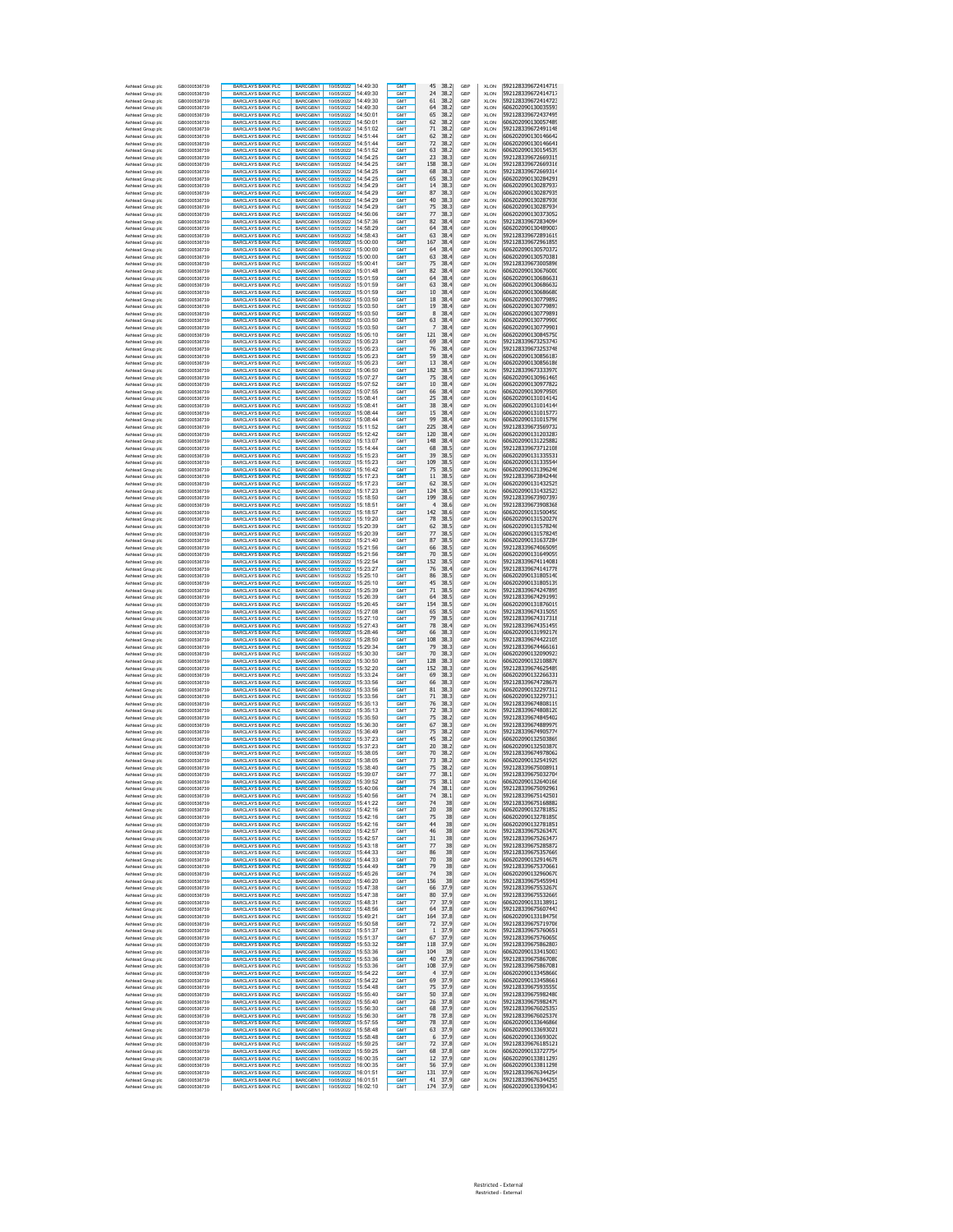| Ashtead Group plc<br>Ashtead Group plc | GB0000536739<br>GB0000536739 | <b>BARCLAYS BANK PLC</b><br><b>BARCLAYS BANK PLC</b> | BARCGBN1<br>BARCGBN1               | 10/05/2022 14:49:30<br>10/05/2022 14:49:30 |          | <b>GMT</b><br>GMT                  | 45<br>38.2<br>24<br>38.2         | GBP<br>GBP | <b>XLON</b><br><b>XLON</b> | 592128339672414719<br>592128339672414717 |
|----------------------------------------|------------------------------|------------------------------------------------------|------------------------------------|--------------------------------------------|----------|------------------------------------|----------------------------------|------------|----------------------------|------------------------------------------|
| Ashtead Group plc                      | GB0000536739                 | <b>BARCLAYS BANK PLC</b>                             | BARCGBN1                           | 10/05/2022 14:49:30                        |          | GMT                                | 38.2<br>61                       | GBP        | <b>XLON</b>                | 592128339672414723                       |
| Ashtead Group plc                      | GB0000536739                 | <b>BARCLAYS BANK PLC</b>                             | BARCGBN1                           | 10/05/2022 14:49:30                        |          | GMT                                | 64<br>38.2                       | GBP        | <b>XLON</b>                | 606202090130035593                       |
| Ashtead Group plc<br>Ashtead Group plc | GB0000536739<br>GB0000536739 | BARCLAYS BANK PLC<br><b>BARCLAYS BANK PLC</b>        | BARCGBN1<br>BARCGBN1               | 10/05/2022 14:50:01<br>1005/2022 14:50:01  |          | GM <sub>1</sub><br><b>GMT</b>      | 65<br>38.2<br>38.2<br>62         | GBP<br>GBP | <b>XLON</b><br><b>XLON</b> | 592128339672437495<br>606202090130057489 |
| Ashtead Group plc                      | GB0000536739                 | <b>BARCLAYS BANK PLO</b>                             | BARCGBN1                           | 10/05/2022 14:51:02                        |          | GM <sub>1</sub>                    | 38.2<br>71                       | GBP        | <b>XLON</b>                | 592128339672491148                       |
| Ashtead Group plc                      | GB0000536739                 | <b>BARCLAYS BANK PLC</b>                             | BARCGBN1                           | 10/05/2022 14:51:44                        |          | GMT                                | 38.2<br>62                       | GBP        | <b>XLON</b>                | 606202090130146642                       |
| Ashtead Group plc<br>Ashtead Group plc | GB0000536739<br>GB0000536739 | <b>BARCLAYS BANK PLC</b><br><b>BARCLAYS BANK PLC</b> | BARCGBN1<br>BARCGBN1               | 10/05/2022 14:51:52                        |          | GM <sub>1</sub><br><b>GMT</b>      | 72<br>38.2<br>38.2<br>63         | GBP<br>GBP | <b>XLON</b><br><b>XLON</b> | 606202090130146641<br>606202090130154539 |
| Ashtead Group plc                      | GB0000536739                 | <b>BARCLAYS BANK PLC</b>                             | BARCGBN1                           | 10/05/2022 14:54:25                        |          | GMT                                | 23<br>38.3                       | GBP        | <b>XLON</b>                | 592128339672669315                       |
| Ashtead Group plc                      | GB0000536739                 | <b>BARCLAYS BANK PLC</b>                             | BARCGBN1                           | 10/05/2022 14:54:25                        |          | GMT                                | 158<br>38.3                      | GBP        | <b>XLON</b>                | 592128339672669316                       |
| Ashtead Group plc<br>Ashtead Group plc | GB0000536739<br>GB0000536739 | <b>BARCLAYS BANK PLC</b><br><b>BARCLAYS BANK PLC</b> | BARCGBN1<br>BARCGBN1               | 10/05/2022 14:54:25<br>10/05/2022 14:54:25 |          | GMT<br>GMT                         | 68<br>38.3<br>65<br>38.3         | GBP<br>GBP | <b>XLON</b><br><b>XLON</b> | 592128339672669314<br>606202090130284291 |
| Ashtead Group plc                      | GB0000536739                 | <b>BARCLAYS BANK PLC</b>                             | BARCGBN1                           | 10/05/2022 14:54:29                        |          | <b>GMT</b>                         | 14<br>38.3                       | GBP        | <b>XLON</b>                | 606202090130287937                       |
| Ashtead Group plc                      | GB0000536739                 | <b>BARCLAYS BANK PLO</b>                             | BARCGBN1                           | 10/05/2022 14:54:29                        |          | <b>GMT</b>                         | 87<br>38.3                       | GBP        | <b>XLON</b>                | 606202090130287935                       |
| Ashtead Group plc<br>Ashtead Group plc | GB0000536739<br>GB0000536739 | <b>BARCLAYS BANK PLC</b><br><b>BARCLAYS BANK PLC</b> | BARCGBN1<br>BARCGBN1               | 10/05/2022 14:54:29<br>10/05/2022 14:54:29 |          | <b>GMT</b><br><b>GMT</b>           | 40<br>38.3<br>75<br>38.3         | GBP<br>GBP | XLON<br>XLON               | 606202090130287936<br>606202090130287934 |
| Ashtead Group plc                      | GB0000536739                 | <b>BARCLAYS BANK PLC</b>                             | BARCGBN1                           | 10/05/2022 14:56:06                        |          | <b>GMT</b>                         | 77<br>38.3                       | GBP        | XLON                       | 606202090130373052                       |
| Ashtead Group plc                      | GB0000536739                 | <b>BARCLAYS BANK PLC</b>                             | BARCGBN1                           | 10/05/2022 14:57:36                        |          | <b>GMT</b>                         | 82<br>38.4                       | GBP        | XLON                       | 592128339672834094                       |
| Ashtead Group plc<br>Ashtead Group plc | GB0000536739<br>GB0000536739 | <b>BARCLAYS BANK PLC</b><br><b>BARCLAYS BANK PLC</b> | BARCGBN1<br>BARCGBN1               | 10/05/2022 14:58:29<br>10/05/2022 14:58:43 |          | <b>GMT</b><br><b>GMT</b>           | 64<br>38.4<br>63<br>38.4         | GBP<br>GBP | XLON<br>XLON               | 606202090130489007<br>592128339672891619 |
| Ashtead Group plc                      | GB0000536739                 | <b>BARCLAYS BANK PLC</b>                             | BARCGBN1                           | 10/05/2022 15:00:00                        |          | GM <sub>1</sub>                    | 167<br>38.4                      | GBP        | <b>XLON</b>                | 592128339672961855                       |
| Ashtead Group plc                      | GB0000536739                 | <b>BARCLAYS BANK PLC</b>                             | BARCGBN1                           | 10/05/2022 15:00:00                        |          | GM <sub>1</sub>                    | 64<br>38.4                       | GBP        | <b>XLON</b>                | 606202090130570372                       |
| Ashtead Group plc<br>Ashtead Group plc | GB0000536739<br>GB0000536739 | <b>BARCLAYS BANK PLC</b><br><b>BARCLAYS BANK PLC</b> | BARCGBN1<br>BARCGBN1               | 10/05/2022 15:00:00<br>10/05/2022 15:00:41 |          | GM <sub>1</sub><br>GMT             | 63<br>38.4<br>75<br>38.4         | GBP<br>GBP | <b>XLON</b><br><b>XLON</b> | 606202090130570381<br>592128339673005896 |
| Ashtead Group plc                      | GB0000536739                 | <b>BARCLAYS BANK PLC</b>                             | BARCGBN1                           | 10/05/2022 15:01:48                        |          | GMT                                | 82<br>38.4                       | GBP        | <b>XLON</b>                | 606202090130676000                       |
| Ashtead Group plc                      | GB0000536739                 | <b>BARCLAYS BANK PLC</b>                             | BARCGBN1                           | 10/05/2022 15:01:59                        |          | <b>GMT</b>                         | 64<br>38.4                       | GBP        | <b>XLON</b>                | 606202090130686631                       |
| Ashtead Group plc<br>Ashtead Group plc | GB0000536739<br>GB0000536739 | <b>BARCLAYS BANK PLC</b><br><b>BARCLAYS BANK PLC</b> | BARCGBN1<br><b>BARCGRN1</b>        | 10/05/2022 15:01:59<br>10/05/2022 15:01:59 |          | GMT<br>GM <sub>1</sub>             | 63<br>38.4<br>38.4<br>10         | GBP<br>GBP | <b>XLON</b><br><b>XLON</b> | 606202090130686632<br>606202090130686680 |
| Ashtead Group plc                      | GB0000536739                 | <b>BARCLAYS BANK PLC</b>                             | BARCGBN1                           | 10/05/2022 15:03:50                        |          | <b>GMT</b>                         | 18<br>38.4                       | GBP        | <b>XLON</b>                | 606202090130779892                       |
| Ashtead Group plc                      | GB0000536739                 | <b>BARCLAYS BANK PLO</b>                             | BARCGBN1                           | 10/05/2022 15:03:50                        |          | GM <sub>1</sub>                    | 38.4<br>19                       | GBP        | <b>XLON</b>                | 606202090130779893                       |
| Ashtead Group plc<br>Ashtead Group plc | GB0000536739<br>GB0000536739 | <b>BARCLAYS BANK PLC</b><br><b>BARCLAYS BANK PLC</b> | BARCGBN1<br>BARCGBN1               | 10/05/2022 15:03:50                        |          | GMT<br>GM <sub>1</sub>             | 8<br>38.4<br>38.4<br>63          | GBP<br>GBP | <b>XLON</b><br><b>XLON</b> | 606202090130779891<br>606202090130779900 |
| Ashtead Group plc                      | GB0000536739                 | <b>BARCLAYS BANK PLC</b>                             | BARCGBN1                           | 10/05/2022 15:03:50                        |          | <b>GMT</b>                         | 7<br>38.4                        | GBP        | <b>XLON</b>                | 606202090130779901                       |
| Ashtead Group plc                      | GB0000536739                 | <b>BARCLAYS BANK PLC</b>                             | BARCGBN1                           | 10/05/2022 15:05:10                        |          | GMT                                | 121<br>38.4                      | GBP        | <b>XLON</b>                | 606202090130845750                       |
| Ashtead Group plc<br>Ashtead Group plc | GB0000536739<br>GB0000536739 | <b>BARCLAYS BANK PLC</b><br><b>BARCLAYS BANK PLO</b> | BARCGBN1<br>BARCGBN1               | 10/05/2022 15:05:23<br>10/05/2022 15:05:23 |          | GMT<br>GMT                         | 69<br>38.4<br>76<br>38.4         | GBP<br>GBP | <b>XLON</b><br><b>XLON</b> | 592128339673253747<br>592128339673253748 |
| Ashtead Group plc                      | GB0000536739                 | <b>BARCLAYS BANK PLC</b>                             | BARCGBN1                           | 10/05/2022 15:05:23                        |          | GMT                                | 59<br>38.4                       | GBP        | <b>XLON</b>                | 606202090130856187                       |
| Ashtead Group plc                      | GB0000536739                 | <b>BARCLAYS BANK PLC</b>                             | BARCGBN1                           | 10/05/2022 15:05:23                        |          | <b>GMT</b>                         | 13<br>38.4                       | GBP        | <b>XLON</b>                | 606202090130856186                       |
| Ashtead Group plc<br>Ashtead Group plc | GB0000536739<br>GB0000536739 | <b>BARCLAYS BANK PLO</b><br><b>BARCLAYS BANK PLC</b> | BARCGBN1<br>BARCGBN1               | 10/05/2022 15:06:50<br>10/05/2022 15:07:27 |          | <b>GMT</b><br><b>GMT</b>           | 182<br>38.5<br>75<br>38.4        | GBP<br>GBP | <b>XLON</b><br>XLON        | 592128339673333970<br>606202090130961465 |
| Ashtead Group plc                      | GB0000536739                 | <b>BARCLAYS BANK PLC</b>                             | BARCGBN1                           | 10/05/2022 15:07:52                        |          | <b>GMT</b>                         | 10<br>38.4                       | GBP        | XLON                       | 606202090130977822                       |
| Ashtead Group plc                      | GB0000536739                 | <b>BARCLAYS BANK PLC</b>                             | BARCGBN1                           | 10/05/2022 15:07:55                        |          | <b>GMT</b>                         | 66<br>38.4                       | GBP        | XLON                       | 606202090130979509                       |
| Ashtead Group plc<br>Ashtead Group plc | GB0000536739<br>GB0000536739 | <b>BARCLAYS BANK PLC</b><br><b>BARCLAYS BANK PLC</b> | BARCGBN1<br>BARCGBN1               | 10/05/2022 15:08:41<br>10/05/2022 15:08:41 |          | <b>GMT</b><br><b>GMT</b>           | 25<br>38.4<br>38<br>38.4         | GBP<br>GBP | XLON<br>XLON               | 606202090131014142<br>606202090131014144 |
| Ashtead Group plc                      | GB0000536739                 | <b>BARCLAYS BANK PLC</b>                             | BARCGBN1                           | 10/05/2022 15:08:44                        |          | <b>GMT</b>                         | 15<br>38.4                       | GBP        | XLON                       | 606202090131015777                       |
| Ashtead Group plc                      | GB0000536739                 | BARCLAYS BANK PLC                                    | BARCGBN1                           | 10/05/2022 15:08:44                        |          | GM <sub>1</sub>                    | 99<br>38.4                       | GBP        | <b>XLON</b>                | 606202090131015796                       |
| Ashtead Group plc<br>Ashtead Group plc | GB0000536739<br>GB0000536739 | <b>BARCLAYS BANK PLC</b><br><b>BARCLAYS BANK PLC</b> | BARCGBN1<br>BARCGBN1               | 10/05/2022 15:11:52<br>10/05/2022 15:12:42 |          | <b>GMT</b><br>GM <sub>1</sub>      | 225<br>38.4<br>120<br>38.4       | GBP<br>GBP | <b>XLON</b><br><b>XLON</b> | 592128339673569732<br>606202090131203287 |
| Ashtead Group plc                      | GB0000536739                 | <b>BARCLAYS BANK PLC</b>                             | BARCGBN1                           | 10/05/2022 15:13:07                        |          | GMT                                | 148<br>38.4                      | GBP        | <b>XLON</b>                | 606202090131225882                       |
| Ashtead Group plc                      | GB0000536739                 | <b>BARCLAYS BANK PLC</b>                             | BARCGBN1                           | 10/05/2022 15:14:44                        |          | GMT                                | 68<br>38.5                       | GBP        | <b>XLON</b>                | 592128339673712108                       |
| Ashtead Group plc<br>Ashtead Group plc | GB0000536739<br>GB0000536739 | <b>BARCLAYS BANK PLC</b><br><b>BARCLAYS BANK PLC</b> | BARCGBN1<br>BARCGBN1               | 10/05/2022 15:15:23<br>10/05/2022 15:15:23 |          | <b>GMT</b><br>GMT                  | 39<br>38.5<br>109<br>38.5        | GBP<br>GBP | <b>XLON</b><br><b>XLON</b> | 606202090131335531<br>606202090131335544 |
| Ashtead Group plc                      | GB0000536739                 | BARCLAYS BANK PLC                                    | BARCGBN1                           | 10/05/2022 15:16:42                        |          | GM <sub>1</sub>                    | 38.5<br>75                       | GBP        | <b>XLON</b>                | 606202090131396246                       |
| Ashtead Group plc                      | GB0000536739                 | <b>BARCLAYS BANK PLC</b>                             | <b>BARCGRN1</b>                    | 1005/2022 15:17:23                         |          | <b>GMT</b>                         | 11<br>38.5                       | GBP        | <b>XLON</b>                | 592128339673842446                       |
| Ashtead Group plc<br>Ashtead Group plc | GB0000536739<br>GB0000536739 | <b>BARCLAYS BANK PLO</b><br>BARCLAYS BANK PLC        | BARCGBN1<br>BARCGBN1               | 10/05/2022 15:17:23                        |          | GM <sub>1</sub><br>GMT             | 62<br>38.5<br>124<br>38.5        | GBP<br>GBP | <b>XLON</b><br><b>XLON</b> | 606202090131432525<br>606202090131432523 |
| Ashtead Group plc                      | GB0000536739                 | <b>BARCLAYS BANK PLC</b>                             | BARCGBN1                           | 10/05/2022 15:17:23                        |          | GM <sub>1</sub>                    | 199<br>38.6                      | GBP        | <b>XLON</b>                | 592128339673907397                       |
| Ashtead Group plc                      | GR0000536739                 | <b>BARCLAYS BANK PLC</b>                             | <b>BARCGRN1</b>                    | 10/05/2022 15:18:51                        |          | GM <sub>1</sub>                    | 38.6<br>4                        | GBP        | <b>XLON</b>                | 592128339673908368                       |
| Ashtead Group plc<br>Ashtead Group plc | GB0000536739<br>GB0000536739 | <b>BARCLAYS BANK PLC</b><br><b>BARCLAYS BANK PLC</b> | BARCGBN1<br>BARCGBN1               | 10/05/2022 15:18:57<br>10/05/2022 15:19:20 |          | GMT<br>GMT                         | 142<br>38.6<br>78<br>38.5        | GBP<br>GBP | <b>XLON</b><br><b>XLON</b> | 606202090131500450<br>606202090131520276 |
| Ashtead Group plc                      | GB0000536739                 | <b>BARCLAYS BANK PLO</b>                             | BARCGBN1                           | 10/05/2022 15:20:39                        |          | GMT                                | 62<br>38.5                       | GBP        | <b>XLON</b>                | 606202090131578246                       |
| Ashtead Group plc                      | GB0000536739                 | <b>BARCLAYS BANK PLC</b>                             | BARCGBN1                           | 10/05/2022 15:20:39                        |          | GMT                                | 77<br>38.5                       | GBP        | <b>XLON</b>                | 606202090131578245                       |
| Ashtead Group plc<br>Ashtead Group plc | GB0000536739<br>GB0000536739 | <b>BARCLAYS BANK PLC</b><br><b>BARCLAYS BANK PLO</b> | BARCGBN1<br>BARCGBN1               | 10/05/2022 15:21:40<br>10/05/2022 15:21:56 |          | <b>GMT</b><br><b>GMT</b>           | 87<br>38.5<br>66<br>38.5         | GBP<br>GBP | <b>XLON</b><br><b>XLON</b> | 606202090131637284<br>592128339674065095 |
| Ashtead Group plc                      | GB0000536739                 | <b>BARCLAYS BANK PLC</b>                             | BARCGBN1                           | 10/05/2022 15:21:56                        |          | <b>GMT</b>                         | 70<br>38.5                       | GBP        | XLON                       | 606202090131649059                       |
| Ashtead Group plc                      | GB0000536739                 | <b>BARCLAYS BANK PLC</b>                             | BARCGBN1                           | 10/05/2022 15:22:54                        |          | <b>GMT</b>                         | 152<br>38.5                      | GBP        | XLON                       | 592128339674114081                       |
| Ashtead Group plc<br>Ashtead Group plc | GB0000536739<br>GB0000536739 | <b>BARCLAYS BANK PLC</b><br><b>BARCLAYS BANK PLC</b> | BARCGBN1<br>BARCGBN1               | 10/05/2022 15:23:27<br>10/05/2022 15:25:10 |          | <b>GMT</b><br><b>GMT</b>           | 76<br>38.4<br>86<br>38.5         | GBP<br>GBP | XLON<br>XLON               | 592128339674141778<br>606202090131805140 |
| Ashtead Group plc                      | GB0000536739                 | <b>BARCLAYS BANK PLC</b>                             | BARCGBN1                           | 10/05/2022 15:25:10                        |          | <b>GMT</b>                         | 45<br>38.5                       | GBP        | XLON                       | 606202090131805139                       |
| Ashtead Group plc                      | GB0000536739                 | <b>BARCLAYS BANK PLC</b>                             | BARCGBN1                           | 10/05/2022 15:25:39                        |          | <b>GMT</b>                         | 71<br>38.5                       | GBP        | XLON                       | 592128339674247895                       |
| Ashtead Group plc<br>Ashtead Group plc | GB0000536739<br>GB0000536739 | <b>BARCLAYS BANK PLC</b><br><b>BARCLAYS BANK PLC</b> | BARCGBN1<br>BARCGBN1               | 10/05/2022 15:26:39<br>10/05/2022 15:26:45 |          | GM <sub>1</sub><br>GM <sub>1</sub> | 38.5<br>64<br>154<br>38.5        | GBP<br>GBP | <b>XLON</b><br><b>XLON</b> | 592128339674291993<br>606202090131876019 |
| Ashtead Group plc                      | GB0000536739                 | <b>BARCLAYS BANK PLC</b>                             | BARCGBN1                           | 10/05/2022 15:27:08                        |          | GM <sub>1</sub>                    | 65<br>38.5                       | GBP        | <b>XLON</b>                | 592128339674315055                       |
| Ashtead Group plc                      | GB0000536739                 | <b>BARCLAYS BANK PLC</b>                             | BARCGBN1                           | 10/05/2022 15:27:10                        |          | GMT                                | 79<br>38.5                       | GBP        | <b>XLON</b>                | 592128339674317318                       |
| Ashtead Group plc<br>Ashtead Group plc | GB0000536739<br>GB0000536739 | <b>BARCLAYS BANK PLC</b><br><b>BARCLAYS BANK PLC</b> | BARCGBN1<br>BARCGBN1               | 10/05/2022 15:27:43<br>10/05/2022 15:28:46 |          | GMT<br><b>GMT</b>                  | 78<br>38.4<br>66<br>38.3         | GBP<br>GBP | <b>XLON</b><br><b>XLON</b> | 592128339674351459<br>606202090131992176 |
| Ashtead Group plc                      | GB0000536739                 | <b>BARCLAYS BANK PLC</b>                             | BARCGBN1                           | 10/05/2022 15:28:50                        |          | GMT                                | 108<br>38.3                      | GBP        | <b>XLON</b>                | 592128339674422105                       |
| Ashtead Group plc                      | GB0000536739                 | <b>BARCLAYS BANK PLC</b>                             | BARCGBN1                           | 10/05/2022 15:29:34                        |          | GM <sub>1</sub>                    | 38.3<br>79                       | GBP        | <b>XLON</b>                | 592128339674466161                       |
| Ashtead Group plc<br>Ashtead Group plc | GB0000536739<br>GB0000536739 | <b>BARCLAYS BANK PLC</b><br><b>BARCLAYS BANK PLO</b> | BARCGBN1<br>BARCGBN1               | 10/05/2022 15:30:30<br>10/05/2022 15:30:50 |          | GMT<br>GM <sub>1</sub>             | 70<br>38.3<br>38.3<br>128        | GBP<br>GBP | <b>XLON</b><br><b>XLON</b> | 606202090132090923<br>606202090132108876 |
| Ashtead Group plc                      | GB0000536739                 | <b>BARCLAYS BANK PLC</b>                             | BARCGBN1                           | 10/05/2022 15:32:20<br>10/05/2022 15:33:24 |          | GMT                                | 38.3<br>152                      | GBP        | <b>XLON</b>                | 592128339674625489                       |
| Ashtead Group plc<br>Ashtead Group plc | GB0000536739<br>GB0000536739 | <b>BARCLAYS BANK PLC</b><br><b>BARCLAYS BANK PLC</b> | <b>BARCGRN1</b><br><b>BARCGRN1</b> | 10/05/2022 15:33:56                        |          | GM <sub>1</sub><br><b>GMT</b>      | 69<br>38.3<br>38.3<br>66         | GBP<br>GBP | <b>XLON</b><br><b>XLON</b> | 606202090132266331<br>592128339674728678 |
| Ashtead Group plc                      | GB0000536739                 | <b>BARCLAYS BANK PLC</b>                             | BARCGBN1                           | 10/05/2022 15:33:56                        |          | GMT                                | 81<br>38.3                       | GBP        | <b>XLON</b>                | 606202090132297312                       |
| Ashtead Group plc                      | GB0000536739                 | <b>BARCLAYS BANK PLC</b>                             | BARCGBN1                           | 10/05/2022 15:33:56                        |          | GMT                                | 71<br>38.3                       | GBP        | <b>XLON</b>                | 606202090132297313                       |
| Ashtead Group plc<br>Ashtead Group plc | GB0000536739<br>GB0000536739 | <b>BARCLAYS BANK PLC</b><br><b>BARCLAYS BANK PLC</b> | BARCGBN1<br>BARCGBN1               | 10/05/2022 15:35:13<br>10/05/2022 15:35:13 |          | GMT<br>GMT                         | 76<br>38.3<br>72<br>38.3         | GBP<br>GBP | <b>XLON</b><br><b>XLON</b> | 592128339674808119<br>592128339674808120 |
| Ashtead Group plc                      | GB0000536739                 | <b>BARCLAYS BANK PLC</b>                             | BARCGBN1                           | 10/05/2022 15:35:50                        |          | <b>GMT</b>                         | 75<br>38.2                       | GBP        | <b>XLON</b>                | 592128339674845402                       |
| Ashtead Group plc                      | GB0000536739                 | <b>BARCLAYS BANK PLO</b>                             | BARCGBN1                           | 10/05/2022 15:36:30                        |          | <b>GMT</b>                         | 67<br>38.3                       | GBP        | <b>XLON</b>                | 592128339674889979                       |
| Ashtead Group plc<br>Ashtead Group plc | GB0000536739<br>GB0000536739 | <b>BARCLAYS BANK PLC</b><br><b>BARCLAYS BANK PLC</b> | BARCGBN1<br>BARCGBN1               | 10/05/2022 15:36:49<br>10/05/2022 15:37:23 |          | <b>GMT</b><br><b>GMT</b>           | 75<br>38.2<br>45<br>38.2         | GBP<br>GBP | XLON<br>XLON               | 592128339674905774<br>606202090132503869 |
| Ashtead Group plc                      | GB0000536739                 | <b>BARCLAYS BANK PLC</b>                             | BARCGBN1                           | 10/05/2022 15:37:23                        |          | <b>GMT</b>                         | 20<br>38.2                       | GBP        | XLON                       | 606202090132503870                       |
| Ashtead Group plc                      | GB0000536739                 | <b>BARCLAYS BANK PLC</b>                             | BARCGBN1                           | 10/05/2022 15:38:05                        |          | <b>GMT</b>                         | 70<br>38.2                       | GBP        | XLON                       | 592128339674978062                       |
| Ashtead Group plc<br>Ashtead Group plc | GB0000536739<br>GB0000536739 | <b>BARCLAYS BANK PLC</b><br><b>BARCLAYS BANK PLC</b> | BARCGBN1<br>BARCGBN1               | 10/05/2022 15:38:05<br>10/05/2022 15:38:40 |          | <b>GMT</b><br><b>GMT</b>           | 73<br>38.2<br>75<br>38.2         | GBP<br>GBP | XLON<br>XLON               | 606202090132541929<br>592128339675008911 |
| Ashtead Group plc                      | GB0000536739                 | <b>BARCLAYS BANK PLO</b>                             | BARCGBN1                           | 10/05/2022                                 | 15:39:07 | GM1                                | $^{\prime}$<br>38.1              | GBF        | <b>XLON</b>                | 92128339675032704                        |
| Ashtead Group plc<br>Ashtead Group plc | GB0000536739<br>GB0000536739 | <b>BARCLAYS BANK PLC</b><br><b>BARCLAYS BANK PLC</b> | BARCGBN1<br>BARCGBN1               | 10/05/2022 15:39:52<br>10/05/2022 15:40:06 |          | GM <sub>1</sub><br>GM <sub>1</sub> | 75<br>38.1<br>74<br>38.1         | GBP<br>GBP | <b>XLON</b><br><b>XLON</b> | 606202090132640166<br>592128339675092961 |
| Ashtead Group plc                      | GB0000536739                 | <b>BARCLAYS BANK PLC</b>                             | BARCGBN1                           | 10/05/2022 15:40:56                        |          | <b>GMT</b>                         | 74<br>38.1                       | GBP        | <b>XLON</b>                | 592128339675142501                       |
| Ashtead Group plc                      | GB0000536739                 | <b>BARCLAYS BANK PLC</b>                             | BARCGBN1                           | 10/05/2022 15:41:22                        |          | GMT<br><b>GMT</b>                  | 74<br>38                         | GBP        | <b>XLON</b>                | 592128339675168882                       |
| Ashtead Group plc<br>Ashtead Group plc | GB0000536739<br>GB0000536739 | <b>BARCLAYS BANK PLC</b><br><b>BARCLAYS BANK PLC</b> | BARCGBN1<br>BARCGBN1               | 10/05/2022 15:42:16<br>10/05/2022 15:42:16 |          | GMT                                | 20<br>38<br>75<br>38             | GBP<br>GBP | <b>XLON</b><br><b>XLON</b> | 606202090132781852<br>606202090132781850 |
| Ashtead Group plc                      | GB0000536739                 | <b>BARCLAYS BANK PLC</b>                             | BARCGBN1                           | 10/05/2022 15:42:16                        |          | <b>GMT</b>                         | 44<br>38                         | GBP        | <b>XLON</b>                | 606202090132781851                       |
| Ashtead Group plc                      | GB0000536739                 | BARCLAYS BANK PLC<br>BARCLAYS BANK PLC               | BARCGBN1                           | 10/05/2022 15:42:57                        |          | GMT                                | 46<br>38<br>38                   | GBP        | <b>XLON</b>                | 592128339675263470<br>592128339675263477 |
| Ashtead Group plc<br>Ashtead Group plc | GB0000536739<br>GB0000536739 | BARCLAYS BANK PLC                                    | BARCGBN1<br>BARCGBN1               | 10/05/2022 15:42:57<br>10/05/2022 15:43:18 |          | <b>GMT</b><br>GMT                  | 31<br>38<br>77                   | GBP<br>GBP | <b>XLON</b><br><b>XLON</b> | 592128339675285872                       |
| Ashtead Group plc                      | GB0000536739                 | <b>BARCLAYS BANK PLC</b>                             | BARCGBN1                           | 10/05/2022 15:44:33                        |          | <b>GMT</b>                         | 86<br>38                         | GBP        | <b>XLON</b>                | 592128339675357669                       |
| Ashtead Group plc<br>Ashtead Group plc | GB0000536739<br>GB0000536739 | <b>BARCLAYS BANK PLC</b>                             | <b>BARCGRN1</b><br>BARCGBN1        | 10/05/2022 15:44:33<br>10/05/2022 15:44:49 |          | <b>GMT</b><br>GMT                  | 70<br>38<br>79<br>38             | GBP<br>GBP | <b>XLON</b><br><b>XLON</b> | 606202090132914678<br>592128339675370661 |
| Ashtead Group plc                      | GB0000536739                 | <b>BARCLAYS BANK PLC</b><br>BARCLAYS BANK PLC        | BARCGBN1                           | 10/05/2022 15:45:26                        |          | GMT                                | 74<br>38                         | GBP        | <b>XLON</b>                | 606202090132960670                       |
| Ashtead Group plc                      | GB0000536739                 | <b>BARCLAYS BANK PLC</b>                             | BARCGBN1                           | 10/05/2022 15:46:20                        |          | GMT                                | 156<br>38                        | GBP        | <b>XLON</b>                | 592128339675455941                       |
| Ashtead Group plc<br>Ashtead Group plc | GB0000536739<br>GB0000536739 | <b>BARCLAYS BANK PLC</b><br><b>BARCLAYS BANK PLC</b> | RARCGBN1<br>BARCGBN1               | 10/05/2022 15:47:38<br>10/05/2022 15:47:38 |          | <b>GMT</b><br><b>GMT</b>           | 66<br>37.9<br>80<br>37.9         | GBP<br>GBP | <b>XLON</b><br><b>XLON</b> | 592128339675532670<br>592128339675532669 |
| Ashtead Group plc                      | GB0000536739                 | <b>BARCLAYS BANK PLC</b>                             | RARCGBN1                           | 10/05/2022 15:48:31                        |          | GMT                                | 77<br>37.9                       | GBP        | <b>XLON</b>                | 606202090133138912                       |
| Ashtead Group plc                      | GB0000536739                 | <b>BARCLAYS BANK PLC</b>                             | BARCGBN1                           | 10/05/2022 15:48:56                        |          | <b>GMT</b>                         | 37.8<br>64                       | GBP        | XLON                       | 592128339675607443                       |
| Ashtead Group plc<br>Ashtead Group plc | GB0000536739<br>GB0000536739 | <b>BARCLAYS BANK PLC</b><br><b>BARCLAYS BANK PLC</b> | BARCGBN1<br>BARCGBN1               | 10/05/2022 15:49:21<br>10/05/2022 15:50:58 |          | <b>GMT</b><br><b>GMT</b>           | 164<br>37.8<br>72<br>37.9        | GBP<br>GBP | XLON<br>XLON               | 606202090133184756<br>592128339675719706 |
| Ashtead Group plc                      | GB0000536739                 | <b>BARCLAYS BANK PLC</b>                             | BARCGBN1                           | 10/05/2022 15:51:37                        |          | <b>GMT</b>                         | 37.9<br>$1\,$                    | GBP        | XLON                       | 592128339675760651                       |
| Ashtead Group plc                      | GB0000536739<br>GB0000536739 | <b>BARCLAYS BANK PLC</b>                             | BARCGBN1                           | 10/05/2022                                 | 15:51:37 | <b>GMT</b>                         | 37.9<br>67                       | GBP        | XLON                       | 592128339675760650                       |
| Ashtead Group plc<br>Ashtead Group plc | GB0000536739                 | <b>BARCLAYS BANK PLC</b><br><b>BARCLAYS BANK PLC</b> | BARCGBN1<br>BARCGBN1               | 10/05/2022 15:53:32<br>10/05/2022 15:53:36 |          | <b>GMT</b><br>GMT                  | 118<br>37.9<br>104<br>38         | GBP<br>GBP | XLON<br><b>XLON</b>        | 592128339675862807<br>606202090133415003 |
| Ashtead Group plc                      | GB0000536739                 | <b>BARCLAYS BANK PLC</b>                             | BARCGBN1                           | 10/05/2022 15:53:36                        |          | GMT                                | 40<br>37.9                       | GBP        | XLON                       | 592128339675867080                       |
| Ashtead Group plc                      | GB0000536739                 | <b>BARCLAYS BANK PLC</b>                             | BARCGBN1                           | 10/05/2022 15:53:36                        |          | GM <sub>1</sub><br><b>GMT</b>      | 108<br>37.9                      | GBP        | <b>XLON</b>                | 592128339675867081                       |
| Ashtead Group plc<br>Ashtead Group plc | GB0000536739<br>GB0000536739 | <b>BARCLAYS BANK PLC</b><br><b>BARCLAYS BANK PLC</b> | BARCGBN1<br>BARCGBN1               | 10/05/2022 15:54:22<br>10/05/2022 15:54:22 |          | GMT                                | 37.9<br>$\ddot{4}$<br>69<br>37.9 | GBP<br>GBP | XLON<br><b>XLON</b>        | 606202090133458660<br>606202090133458661 |
| Ashtead Group plc                      | GB0000536739                 | <b>BARCLAYS BANK PLC</b>                             | BARCGBN1                           | 10/05/2022 15:54:48                        |          | <b>GMT</b>                         | 75<br>37.9                       | GBP        | XLON                       | 592128339675935550                       |
| Ashtead Group plc                      | GB0000536739                 | <b>BARCLAYS BANK PLC</b>                             | BARCGBN1                           | 10/05/2022 15:55:40<br>10/05/2022 15:55:40 |          | GMT                                | 50<br>37.8<br>37.8               | GBP        | <b>XLON</b>                | 592128339675982480<br>592128339675982479 |
| Ashtead Group plc<br>Ashtead Group plc | GB0000536739<br>GB0000536739 | <b>BARCLAYS BANK PLC</b><br><b>BARCLAYS BANK PLC</b> | BARCGBN1<br>BARCGBN1               | 10/05/2022 15:56:30                        |          | <b>GMT</b><br>GMT                  | 26<br>68<br>37.9                 | GBP<br>GBP | <b>XLON</b><br><b>XLON</b> | 592128339676025357                       |
| Ashtead Group plc                      | GB0000536739                 | <b>BARCLAYS BANK PLC</b>                             | BARCGBN1                           | 10/05/2022 15:56:30                        |          | <b>GMT</b>                         | 37.8<br>78                       | GBP        | <b>XLON</b>                | 592128339676025376                       |
| Ashtead Group plc<br>Ashtead Group plc | GB0000536739<br>GB0000536739 | <b>BARCLAYS BANK PLC</b><br><b>BARCLAYS BANK PLC</b> | BARCGBN1<br>BARCGBN1               | 10/05/2022 15:57:55<br>10/05/2022 15:58:48 |          | <b>GMT</b><br><b>GMT</b>           | 78<br>37.8<br>37.9<br>63         | GBP<br>GBP | <b>XLON</b><br><b>XLON</b> | 606202090133646866<br>606202090133693021 |
| Ashtead Group plc                      | GB0000536739                 | <b>BARCLAYS BANK PLC</b>                             | BARCGBN1                           | 10/05/2022 15:58:48                        |          | <b>GMT</b>                         | 6<br>37.9                        | GBP        | <b>XLON</b>                | 606202090133693020                       |
| Ashtead Group plc                      | GB0000536739                 | <b>BARCLAYS BANK PLC</b>                             | BARCGBN1                           | 10/05/2022 15:59:25                        |          | GMT                                | 72<br>37.8                       | GBP        | <b>XLON</b>                | 592128339676185121                       |
| Ashtead Group plc<br>Ashtead Group plc | GB0000536739<br>GB0000536739 | <b>BARCLAYS BANK PLC</b><br><b>BARCLAYS BANK PLC</b> | BARCGBN1<br>BARCGBN1               | 10/05/2022 15:59:25<br>10/05/2022 16:00:35 |          | GMT<br>GMT                         | 68<br>37.8<br>12<br>37.9         | GBP<br>GBP | <b>XLON</b><br><b>XLON</b> | 606202090133727754<br>606202090133811297 |
| Ashtead Group plc                      | GB0000536739                 | <b>BARCLAYS BANK PLC</b>                             | RARCGBN1                           | 10/05/2022 16:00:35                        |          | <b>GMT</b>                         | 56<br>37.9                       | GBP        | <b>XLON</b>                | 606202090133811298                       |
| Ashtead Group plc<br>Ashtead Group plc | GB0000536739<br>GB0000536739 | <b>BARCLAYS BANK PLC</b><br><b>BARCLAYS BANK PLC</b> | BARCGBN1<br>BARCGBN1               | 10/05/2022 16:01:51<br>10/05/2022 16:01:51 |          | <b>GMT</b><br><b>GMT</b>           | 131<br>37.9<br>41<br>37.9        | GBP<br>GBP | <b>XLON</b><br><b>XLON</b> | 592128339676344254<br>592128339676344255 |
| Ashtead Group plo                      | GB0000536739                 | <b>BARCLAYS BANK PLC</b>                             | BARCGBN1                           | 10/05/2022 16:02:10                        |          | <b>GMT</b>                         | 174<br>37.9                      | GBP        | <b>XLON</b>                | 606202090133904347                       |